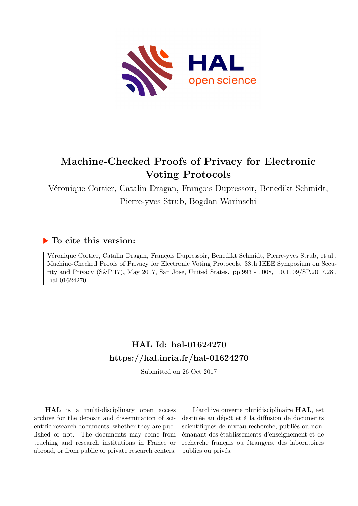

# **Machine-Checked Proofs of Privacy for Electronic Voting Protocols**

Véronique Cortier, Catalin Dragan, François Dupressoir, Benedikt Schmidt, Pierre-yves Strub, Bogdan Warinschi

# **To cite this version:**

Véronique Cortier, Catalin Dragan, François Dupressoir, Benedikt Schmidt, Pierre-yves Strub, et al.. Machine-Checked Proofs of Privacy for Electronic Voting Protocols. 38th IEEE Symposium on Security and Privacy (S&P'17), May 2017, San Jose, United States. pp.993 - 1008,  $10.1109/SP.2017.28$ . hal-01624270

# **HAL Id: hal-01624270 <https://hal.inria.fr/hal-01624270>**

Submitted on 26 Oct 2017

**HAL** is a multi-disciplinary open access archive for the deposit and dissemination of scientific research documents, whether they are published or not. The documents may come from teaching and research institutions in France or abroad, or from public or private research centers.

L'archive ouverte pluridisciplinaire **HAL**, est destinée au dépôt et à la diffusion de documents scientifiques de niveau recherche, publiés ou non, émanant des établissements d'enseignement et de recherche français ou étrangers, des laboratoires publics ou privés.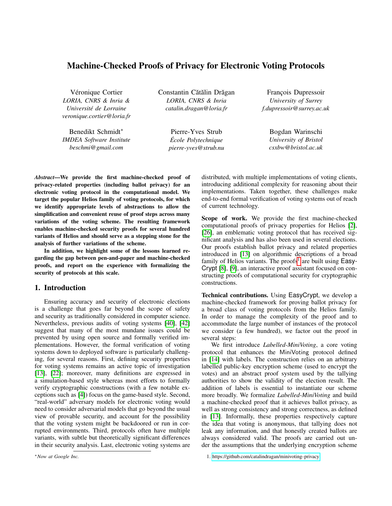# Machine-Checked Proofs of Privacy for Electronic Voting Protocols

Véronique Cortier *LORIA, CNRS & Inria & Université de Lorraine veronique.cortier@loria.fr*

Benedikt Schmidt<sup>∗</sup> *IMDEA Software Institute beschmi@gmail.com*

Constantin Cătălin Drăgan *LORIA, CNRS & Inria catalin.dragan@loria.fr*

> Pierre-Yves Strub *École Polytechnique pierre-yves@strub.nu*

François Dupressoir *University of Surrey f.dupressoir@surrey.ac.uk*

> Bogdan Warinschi *University of Bristol csxbw@bristol.ac.uk*

*Abstract*—We provide the first machine-checked proof of privacy-related properties (including ballot privacy) for an electronic voting protocol in the computational model. We target the popular Helios family of voting protocols, for which we identify appropriate levels of abstractions to allow the simplification and convenient reuse of proof steps across many variations of the voting scheme. The resulting framework enables machine-checked security proofs for several hundred variants of Helios and should serve as a stepping stone for the analysis of further variations of the scheme.

In addition, we highlight some of the lessons learned regarding the gap between pen-and-paper and machine-checked proofs, and report on the experience with formalizing the security of protocols at this scale.

# 1. Introduction

Ensuring accuracy and security of electronic elections is a challenge that goes far beyond the scope of safety and security as traditionally considered in computer science. Nevertheless, previous audits of voting systems [40], [42] suggest that many of the most mundane issues could be prevented by using open source and formally verified implementations. However, the formal verification of voting systems down to deployed software is particularly challenging, for several reasons. First, defining security properties for voting systems remains an active topic of investigation [13], [22]; moreover, many definitions are expressed in a simulation-based style whereas most efforts to formally verify cryptographic constructions (with a few notable exceptions such as [4]) focus on the game-based style. Second, "real-world" adversary models for electronic voting would need to consider adversarial models that go beyond the usual view of provable security, and account for the possibility that the voting system might be backdoored or run in corrupted environments. Third, protocols often have multiple variants, with subtle but theoretically significant differences in their security analysis. Last, electronic voting systems are Scope of work. We provide the first machine-checked computational proofs of privacy properties for Helios [2], [26], an emblematic voting protocol that has received significant analysis and has also been used in several elections. Our proofs establish ballot privacy and related properties introduced in [13] on algorithmic descriptions of a broad family of Helios variants. The proofs<sup>1</sup> are built using  $\textsf{Easy}$ -Crypt [8], [9], an interactive proof assistant focused on constructing proofs of computational security for cryptographic constructions.

Technical contributions. Using EasyCrypt, we develop a machine-checked framework for proving ballot privacy for a broad class of voting protocols from the Helios family. In order to manage the complexity of the proof and to accommodate the large number of instances of the protocol we consider (a few hundred), we factor out the proof in several steps:

We first introduce *Labelled-MiniVoting*, a core voting protocol that enhances the MiniVoting protocol defined in [14] with labels. The construction relies on an arbitrary labelled public-key encryption scheme (used to encrypt the votes) and an abstract proof system used by the tallying authorities to show the validity of the election result. The addition of labels is essential to instantiate our scheme more broadly. We formalize *Labelled-MiniVoting* and build a machine-checked proof that it achieves ballot privacy, as well as strong consistency and strong correctness, as defined in [13]. Informally, these properties respectively capture the idea that voting is anonymous, that tallying does not leak any information, and that honestly created ballots are always considered valid. The proofs are carried out under the assumptions that the underlying encryption scheme

distributed, with multiple implementations of voting clients, introducing additional complexity for reasoning about their implementations. Taken together, these challenges make end-to-end formal verification of voting systems out of reach of current technology.

<sup>∗</sup>*Now at Google Inc.*

<sup>1.</sup> [https://github.com/catalindragan/minivoting-privacy.](https://github.com/catalindragan/minivoting-privacy)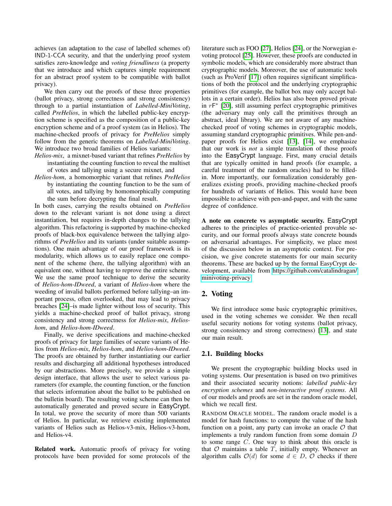achieves (an adaptation to the case of labelled schemes of) IND-1-CCA security, and that the underlying proof system satisfies zero-knowledge and *voting friendliness* (a property that we introduce and which captures simple requirement for an abstract proof system to be compatible with ballot privacy).

We then carry out the proofs of these three properties (ballot privacy, strong correctness and strong consistency) through to a partial instantiation of *Labelled-MiniVoting*, called *PreHelios*, in which the labelled public-key encryption scheme is specified as the composition of a public-key encryption scheme and of a proof system (as in Helios). The machine-checked proofs of privacy for *PreHelios* simply follow from the generic theorems on *Labelled-MiniVoting*. We introduce two broad families of Helios variants:

- *Helios-mix*, a mixnet-based variant that refines *PreHelios* by instantiating the counting function to reveal the multiset of votes and tallying using a secure mixnet, and
- *Helios-hom*, a homomorphic variant that refines *PreHelios* by instantiating the counting function to be the sum of all votes, and tallying by homomorphically computing the sum before decrypting the final result.

In both cases, carrying the results obtained on *PreHelios* down to the relevant variant is not done using a direct instantiation, but requires in-depth changes to the tallying algorithm. This refactoring is supported by machine-checked proofs of black-box equivalence between the tallying algorithms of *PreHelios* and its variants (under suitable assumptions). One main advantage of our proof framework is its modularity, which allows us to easily replace one component of the scheme (here, the tallying algorithm) with an equivalent one, without having to reprove the entire scheme. We use the same proof technique to derive the security of *Helios-hom-IDweed*, a variant of *Helios-hom* where the weeding of invalid ballots performed before tallying–an important process, often overlooked, that may lead to privacy breaches [24]–is made lighter without loss of security. This yields a machine-checked proof of ballot privacy, strong consistency and strong correctness for *Helios-mix*, *Helioshom*, and *Helios-hom-IDweed*.

Finally, we derive specifications and machine-checked proofs of privacy for large families of secure variants of Helios from *Helios-mix*, *Helios-hom*, and *Helios-hom-IDweed*. The proofs are obtained by further instantiating our earlier results and discharging all additional hypotheses introduced by our abstractions. More precisely, we provide a simple design interface, that allows the user to select various parameters (for example, the counting function, or the function that selects information about the ballot to be published on the bulletin board). The resulting voting scheme can then be automatically generated and proved secure in EasyCrypt. In total, we prove the security of more than 500 variants of Helios. In particular, we retrieve existing implemented variants of Helios such as Helios-v3-mix, Helios-v3-hom, and Helios-v4.

Related work. Automatic proofs of privacy for voting protocols have been provided for some protocols of the literature such as FOO [27], Helios [24], or the Norwegian evoting protocol [25]. However, these proofs are conducted in symbolic models, which are considerably more abstract than cryptographic models. Moreover, the use of automatic tools (such as ProVerif [17]) often requires significant simplifications of both the protocol and the underlying cryptographic primitives (for example, the ballot box may only accept ballots in a certain order). Helios has also been proved private in  $rF^*$  [20], still assuming perfect cryptographic primitives (the adversary may only call the primitives through an abstract, ideal library). We are not aware of any machinechecked proof of voting schemes in cryptographic models, assuming standard cryptographic primitives. While pen-andpaper proofs for Helios exist [13], [14], we emphasize that our work is *not* a simple translation of those proofs into the EasyCrypt language. First, many crucial details that are typically omitted in hand proofs (for example, a careful treatment of the random oracles) had to be filledin. More importantly, our formalization considerably generalizes existing proofs, providing machine-checked proofs for hundreds of variants of Helios. This would have been impossible to achieve with pen-and-paper, and with the same degree of confidence.

A note on concrete vs asymptotic security. EasyCrypt adheres to the principles of practice-oriented provable security, and our formal proofs always state concrete bounds on adversarial advantages. For simplicity, we place most of the discussion below in an asymptotic context. For precision, we give concrete statements for our main security theorems. These are backed up by the formal EasyCrypt development, available from [https://github.com/catalindragan/](https://github.com/catalindragan/minivoting-privacy) [minivoting-privacy.](https://github.com/catalindragan/minivoting-privacy)

# 2. Voting

We first introduce some basic cryptographic primitives, used in the voting schemes we consider. We then recall useful security notions for voting systems (ballot privacy, strong consistency and strong correctness) [13], and state our main result.

#### 2.1. Building blocks

We present the cryptographic building blocks used in voting systems. Our presentation is based on two primitives and their associated security notions: *labelled public-key encryption schemes* and *non-interactive proof systems*. All of our models and proofs are set in the random oracle model, which we recall first.

RANDOM ORACLE MODEL. The random oracle model is a model for hash functions: to compute the value of the hash function on a point, any party can invoke an oracle  $O$  that implements a truly random function from some domain D to some range C. One way to think about this oracle is that  $O$  maintains a table  $T$ , initially empty. Whenever an algorithm calls  $O(d)$  for some  $d \in D$ ,  $O$  checks if there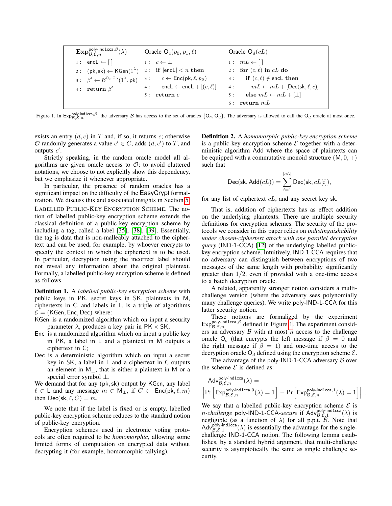| $\mathbf{Exp}_{\mathcal{B},\mathcal{E},n}^{\mathsf{poly-indlcca},\beta}(\lambda)$                      | Oracle $O_c(p_0, p_1, \ell)$                                                                        | Oracle $O_d(cL)$                                         |  |  |
|--------------------------------------------------------------------------------------------------------|-----------------------------------------------------------------------------------------------------|----------------------------------------------------------|--|--|
| 1: enc $L \leftarrow \lceil \cdot \rceil$                                                              | $1: c \leftarrow \perp$                                                                             | 1: $mL \leftarrow \Box$                                  |  |  |
| 2: $(\mathsf{pk}, \mathsf{sk}) \leftarrow \mathsf{KGen}(1^{\lambda})$ 2: if $ \mathsf{encl}  < n$ then |                                                                                                     | 2: for $(c, \ell)$ in $cL$ do                            |  |  |
|                                                                                                        | $3: \beta' \leftarrow \mathcal{B}^{O_c,O_d}(1^{\lambda},pk)$ 3: $c \leftarrow Enc(pk,\ell,p_\beta)$ | 3: if $(c, \ell) \notin \text{encl}$ then                |  |  |
| 4: return $\beta'$                                                                                     | 4: enc $\mathsf{L} \leftarrow$ enc $\mathsf{L} + [(c, \ell)]$                                       | 4: $mL \leftarrow mL + [\text{Dec}(\text{sk}, \ell, c)]$ |  |  |
|                                                                                                        | $5:$ return $c$                                                                                     | 5: else $mL \leftarrow mL + [\perp]$                     |  |  |
|                                                                                                        |                                                                                                     | 6: return $mL$                                           |  |  |

Figure 1. In  $Exp_{\mathcal{B},\mathcal{E},n}^{\text{poly-indices},\beta}$ , the adversary  $\beta$  has access to the set of oracles  $\{O_c,O_d\}$ . The adversary is allowed to call the  $O_d$  oracle at most once.

exists an entry  $(d, c)$  in T and, if so, it returns c; otherwise  $O$  randomly generates a value  $c' \in C$ , adds  $(d, c')$  to T, and outputs  $c'$ .

Strictly speaking, in the random oracle model all algorithms are given oracle access to  $\mathcal{O}$ ; to avoid cluttered notations, we choose to not explicitly show this dependency, but we emphasize it whenever appropriate.

In particular, the presence of random oracles has a significant impact on the difficulty of the EasyCrypt formalization. We discuss this and associated insights in Section 5.

LABELLED PUBLIC-KEY ENCRYPTION SCHEME. The notion of labelled public-key encryption scheme extends the classical definition of a public-key encryption scheme by including a tag, called a label [35], [38], [39]. Essentially, the tag is data that is non-malleably attached to the ciphertext and can be used, for example, by whoever encrypts to specify the context in which the ciphertext is to be used. In particular, decryption using the incorrect label should not reveal any information about the original plaintext. Formally, a labelled public-key encryption scheme is defined as follows.

Definition 1. A *labelled public-key encryption scheme* with public keys in PK, secret keys in SK, plaintexts in M, ciphertexts in C, and labels in L, is a triple of algorithms  $\mathcal{E} = (KGen, Enc, Dec)$  where:

- KGen is a randomized algorithm which on input a security parameter  $\lambda$ , produces a key pair in PK  $\times$  SK;
- Enc is a randomized algorithm which on input a public key in PK, a label in L and a plaintext in M outputs a ciphertext in C;
- Dec is a deterministic algorithm which on input a secret key in SK, a label in L and a ciphertext in C outputs an element in  $M_{\perp}$ , that is either a plaintext in M or a special error symbol ⊥.

We demand that for any (pk, sk) output by KGen, any label  $\ell \in L$  and any message  $m \in M_{\perp}$ , if  $C \leftarrow \text{Enc}(\text{pk}, \ell, m)$ then  $Dec(\mathsf{sk}, \ell, C) = m$ .

We note that if the label is fixed or is empty, labelled public-key encryption scheme reduces to the standard notion of public-key encryption.

Encryption schemes used in electronic voting protocols are often required to be *homomorphic*, allowing some limited forms of computation on encrypted data without decrypting it (for example, homomorphic tallying).

Definition 2. A *homomorphic public-key encryption scheme* is a public-key encryption scheme  $\mathcal E$  together with a deterministic algorithm Add where the space of plaintexts can be equipped with a commutative monoid structure  $(M, 0, +)$ such that

$$
\mathsf{Dec}(\mathsf{sk}, \mathsf{Add}(cL)) = \sum_{i=1}^{|cL|} \mathsf{Dec}(\mathsf{sk}, cL[i]),
$$

for any list of ciphertext  $cL$ , and any secret key sk.

That is, addition of ciphertexts has as effect addition on the underlying plaintexts. There are multiple security definitions for encryption schemes. The security of the protocols we consider in this paper relies on *indistinguishability under chosen-ciphertext attack with one parallel decryption query* (IND-1-CCA) [12] of the underlying labelled publickey encryption scheme. Intuitively, IND-1-CCA requires that no adversary can distinguish between encryptions of two messages of the same length with probability significantly greater than  $1/2$ , even if provided with a one-time access to a batch decryption oracle.

A related, apparently stronger notion considers a multichallenge version (where the adversary sees polynomially many challenge queries). We write poly-IND-1-CCA for this latter security notion.

These notions are formalized by the experiment  $Exp_{\mathcal{B},\mathcal{E},n}^{\text{poly-indlcca},\beta}$  defined in Figure 1. The experiment considers an adversary  $\beta$  with at most n access to the challenge oracle  $\mathcal{O}_c$  (that encrypts the left message if  $\beta = 0$  and the right message if  $\beta = 1$ ) and one-time access to the decryption oracle  $O_d$  defined using the encryption scheme  $\mathcal{E}$ .

The advantage of the poly-IND-1-CCA adversary  $\beta$  over the scheme  $\mathcal E$  is defined as:

$$
\begin{aligned} &\mathsf{Adv}_{\mathcal{B},\mathcal{E},n}^{\mathsf{poly-indlcca}}(\lambda) = \\ &\left| \Pr \left[ \mathsf{Exp}_{\mathcal{B},\mathcal{E},n}^{\mathsf{poly-indlcca},0}(\lambda) = 1 \right] - \Pr \left[ \mathsf{Exp}_{\mathcal{B},\mathcal{E},n}^{\mathsf{poly-indlcca},1}(\lambda) = 1 \right] \right| \; . \end{aligned}
$$

We say that a labelled public-key encryption scheme  $\mathcal E$  is *n*-challenge poly-IND-1-CCA-secure if  $\widehat{Adv}_{\mathcal{B},\mathcal{E},1}^{\text{poly-indlcca}}(\lambda)$  is negligible (as a function of  $\lambda$ ) for all p.p.t. B. Note that Adv<sub>B,E,1</sub> ( $\lambda$ ) is essentially the advantage for the singlechallenge IND-1-CCA notion. The following lemma establishes, by a standard hybrid argument, that multi-challenge security is asymptotically the same as single challenge security.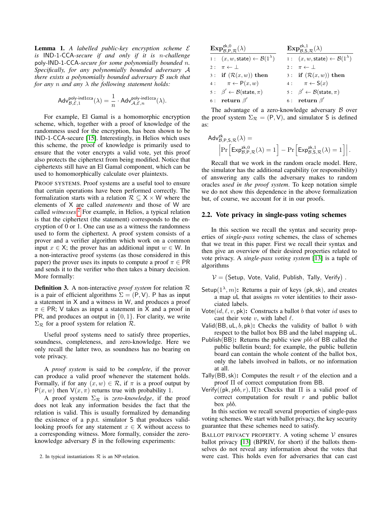Lemma 1. *A labelled public-key encryption scheme* E *is* IND*-*1*-*CCA*-secure if and only if it is* n*-challenge* poly*-*IND*-*1*-*CCA*-secure for some polynomially bounded* n*. Specifically, for any polynomially bounded adversary* A *there exists a polynomially bounded adversary* B *such that for any* n *and any* λ *the following statement holds:*

$$
\mathsf{Adv}_{\mathcal{B},\mathcal{E},1}^{\mathsf{poly-indlcca}}(\lambda) = \frac{1}{n} \cdot \mathsf{Adv}_{\mathcal{A},\mathcal{E},n}^{\mathsf{poly-indlcca}}(\lambda).
$$

For example, El Gamal is a homomorphic encryption scheme, which, together with a proof of knowledge of the randomness used for the encryption, has been shown to be IND-1-CCA-secure [15]. Interestingly, in Helios which uses this scheme, the proof of knowledge is primarily used to ensure that the voter encrypts a valid vote, yet this proof also protects the ciphertext from being modified. Notice that ciphertexts still have an El Gamal component, which can be used to homomorphically calculate over plaintexts.

PROOF SYSTEMS. Proof systems are a useful tool to ensure that certain operations have been performed correctly. The formalization starts with a relation  $\mathcal{R} \subseteq X \times W$  where the elements of X are called *statements* and those of W are called *witnesses*. 2 For example, in Helios, a typical relation is that the ciphertext (the statement) corresponds to the encryption of 0 or 1. One can use as a witness the randomness used to form the ciphertext. A proof system consists of a prover and a verifier algorithm which work on a common input  $x \in X$ ; the prover has an additional input  $w \in W$ . In a non-interactive proof systems (as those considered in this paper) the prover uses its inputs to compute a proof  $\pi \in PR$ and sends it to the verifier who then takes a binary decision. More formally:

Definition 3. A non-interactive *proof system* for relation R is a pair of efficient algorithms  $\Sigma = (P, V)$ . P has as input a statement in X and a witness in W, and produces a proof  $\pi \in PR$ ; V takes as input a statement in X and a proof in PR, and produces an output in  $\{0, 1\}$ . For clarity, we write  $\Sigma_{\mathcal{R}}$  for a proof system for relation  $\mathcal{R}$ .

Useful proof systems need to satisfy three properties, soundness, completeness, and zero-knowledge. Here we only recall the latter two, as soundness has no bearing on vote privacy.

A *proof system* is said to be *complete*, if the prover can produce a valid proof whenever the statement holds. Formally, if for any  $(x, w) \in \mathcal{R}$ , if  $\pi$  is a proof output by  $P(x, w)$  then  $V(x, \pi)$  returns true with probability 1.

A proof system  $\Sigma_{\mathcal{R}}$  is *zero-knowledge*, if the proof does not leak any information besides the fact that the relation is valid. This is usually formalized by demanding the existence of a p.p.t. simulator S that produces validlooking proofs for any statement  $x \in X$  without access to a corresponding witness. More formally, consider the zeroknowledge adversary  $\beta$  in the following experiments:

| $\mathbf{Exp}_{\mathcal{B},\mathsf{P},\mathcal{R}}^{\mathsf{zk},0}(\lambda)$ |  | $\mathbf{Exp}_{\mathcal{B} S}^{\mathsf{zk},1}(\lambda)$       |  |
|------------------------------------------------------------------------------|--|---------------------------------------------------------------|--|
| 1 : $(x, w, \text{state}) \leftarrow \mathcal{B}(1^{\lambda})$               |  | 1: $(x, w, \text{state}) \leftarrow \mathcal{B}(1^{\lambda})$ |  |
| 2: $\pi \leftarrow \perp$                                                    |  | 2: $\pi \leftarrow \perp$                                     |  |
| 3: if $(\mathcal{R}(x,w))$ then                                              |  | 3: if $(\mathcal{R}(x,w))$ then                               |  |
| 4: $\pi \leftarrow P(x,w)$                                                   |  | 4: $\pi \leftarrow S(x)$                                      |  |
| 5: $\beta' \leftarrow \mathcal{B}(\text{state}, \pi)$                        |  | 5: $\beta' \leftarrow \mathcal{B}(\text{state}, \pi)$         |  |
| 6: return $\beta'$                                                           |  | 6: return $\beta'$                                            |  |

The advantage of a zero-knowledge adversary  $\beta$  over the proof system  $\Sigma_{\mathcal{R}} = (P, V)$ , and simulator S is defined as:

$$
\mathsf{Adv}_{\mathcal{B},\mathsf{P},\mathsf{S},\mathcal{R}}^{\mathsf{zk}}(\lambda) = \\ \left|\Pr\left[\mathsf{Exp}_{\mathcal{B},\mathsf{P},\mathcal{R}}^{\mathsf{zk},0}(\lambda) = 1\right] - \Pr\left[\mathsf{Exp}_{\mathcal{B},\mathsf{S},\mathcal{R}}^{\mathsf{zk},1}(\lambda) = 1\right]\right|.
$$

Recall that we work in the random oracle model. Here, the simulator has the additional capability (or responsibility) of answering any calls the adversary makes to random oracles *used in the proof system*. To keep notation simple we do not show this dependence in the above formalization but, of course, we account for it in our proofs.

# 2.2. Vote privacy in single-pass voting schemes

In this section we recall the syntax and security properties of *single-pass voting* schemes, the class of schemes that we treat in this paper. First we recall their syntax and then give an overview of their desired properties related to vote privacy. A *single-pass voting system* [13] is a tuple of algorithms

$$
\mathcal{V} =
$$
 (Setup, Vote, Valid, Publishing, Tally, Verify).

- Setup( $1^{\lambda}$ , *m*): Returns a pair of keys (pk, sk), and creates a map uL that assigns  $m$  voter identities to their associated labels.
- Vote(id,  $\ell$ , v, pk): Constructs a ballot b that voter id uses to cast their vote  $v$ , with label  $\ell$ .
- Valid(BB, uL,  $b$ , pk): Checks the validity of ballot b with respect to the ballot box BB and the label mapping uL.
- Publish(BB): Returns the public view *pbb* of BB called the public bulletin board; for example, the public bulletin board can contain the whole content of the ballot box, only the labels involved in ballots, or no information at all.
- Tally(BB, sk): Computes the result  $r$  of the election and a proof Π of correct computation from BB.
- Verify( $(pk, pbb, r)$ , Π): Checks that  $\Pi$  is a valid proof of correct computation for result  $r$  and public ballot box pbb.

In this section we recall several properties of single-pass voting schemes. We start with ballot privacy, the key security guarantee that these schemes need to satisfy.

BALLOT PRIVACY PROPERTY. A voting scheme  $V$  ensures ballot privacy [13] (BPRIV, for short) if the ballots themselves do not reveal any information about the votes that were cast. This holds even for adversaries that can cast

<sup>2.</sup> In typical instantiations  $R$  is an NP-relation.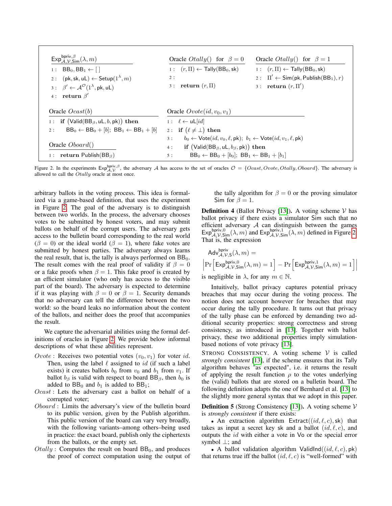| $Exp_{A,V,\text{Sim}}^{\text{bpriv},\beta}(\lambda,m)$                                                                             | Oracle <i>Otally</i> () for $\beta = 0$                                                                                    | Oracle <i>Otally</i> () for $\beta = 1$                                                                                                 |  |  |
|------------------------------------------------------------------------------------------------------------------------------------|----------------------------------------------------------------------------------------------------------------------------|-----------------------------------------------------------------------------------------------------------------------------------------|--|--|
| 1: $BB_0, BB_1 \leftarrow \lceil \rceil$<br>2: $(\mathsf{pk}, \mathsf{sk}, \mathsf{uL}) \leftarrow \mathsf{Setup}(1^{\lambda}, m)$ | 1: $(r, \Pi) \leftarrow \text{Tally}(BB_0, sk)$<br>2:                                                                      | 1: $(r, \Pi) \leftarrow \text{Tally}(BB_0, sk)$<br>2: $\Pi' \leftarrow \textsf{Sim}(\textsf{pk}, \textsf{Published}(\textsf{BB}_1), r)$ |  |  |
| $3: \beta' \leftarrow \mathcal{A}^{\mathcal{O}}(1^{\lambda}, \mathsf{pk}, \mathsf{u} \mathsf{L})$<br>4: return $\beta'$            | $3:$ return $(r, \Pi)$                                                                                                     | 3: return $(r, \Pi')$                                                                                                                   |  |  |
| Oracle $Ocast(b)$                                                                                                                  | Oracle $Ovote(id, v_0, v_1)$                                                                                               |                                                                                                                                         |  |  |
| 1: if $(Valid(BB_\beta, uL, b, pk))$ then                                                                                          | 1: $\ell \leftarrow \mathsf{u}\mathsf{L}[id]$                                                                              |                                                                                                                                         |  |  |
| $BB_0 \leftarrow BB_0 + [b]; BB_1 \leftarrow BB_1 + [b]$<br>2:                                                                     | 2: if $(\ell \neq \bot)$ then                                                                                              |                                                                                                                                         |  |  |
|                                                                                                                                    | $b_0 \leftarrow \mathsf{Vote}(id, v_0, \ell, \mathsf{pk}); b_1 \leftarrow \mathsf{Vote}(id, v_1, \ell, \mathsf{pk})$<br>3: |                                                                                                                                         |  |  |
| Oracle $Obvard()$                                                                                                                  | if $(Valid(BB_\beta, uL, b_\beta, pk))$ then<br>4:                                                                         |                                                                                                                                         |  |  |
| return Publish( $BB_8$ )                                                                                                           | $BB_0 \leftarrow BB_0 + [b_0]; BB_1 \leftarrow BB_1 + [b_1]$<br>5:                                                         |                                                                                                                                         |  |  |

Figure 2. In the experiments  $Exp_{\mathcal{A},\mathcal{Y}}^{bpriv,\beta}$ , the adversary  $\mathcal A$  has access to the set of oracles  $\mathcal O = \{Ocast, Ovote, Otally, Oboard\}$ . The adversary is allowed to call the  $Otally$  oracle at most once.

arbitrary ballots in the voting process. This idea is formalized via a game-based definition, that uses the experiment in Figure 2. The goal of the adversary is to distinguish between two worlds. In the process, the adversary chooses votes to be submitted by honest voters, and may submit ballots on behalf of the corrupt users. The adversary gets access to the bulletin board corresponding to the real world  $(\beta = 0)$  or the ideal world  $(\beta = 1)$ , where fake votes are submitted by honest parties. The adversary always learns the real result, that is, the tally is always performed on  $BB_0$ . The result comes with the real proof of validity if  $\beta = 0$ or a fake proofs when  $\beta = 1$ . This fake proof is created by an efficient simulator (who only has access to the visible part of the board). The adversary is expected to determine if it was playing with  $\beta = 0$  or  $\beta = 1$ . Security demands that no adversary can tell the difference between the two world: so the board leaks no information about the content of the ballots, and neither does the proof that accompanies the result.

We capture the adversarial abilities using the formal definitions of oracles in Figure 2. We provide below informal descriptions of what these abilities represent.

- *Ovote* : Receives two potential votes  $(v_0, v_1)$  for voter *id*. Then, using the label  $\ell$  assigned to *id* (if such a label exists) it creates ballots  $b_0$  from  $v_0$  and  $b_1$  from  $v_1$ . If ballot  $b_\beta$  is valid with respect to board BB<sub>β</sub>, then  $b_0$  is added to  $BB_0$  and  $b_1$  is added to  $BB_1$ ;
- Ocast : Lets the adversary cast a ballot on behalf of a corrupted voter;
- Oboard : Limits the adversary's view of the bulletin board to its public version, given by the Publish algorithm. This public version of the board can vary very broadly, with the following variants–among others–being used in practice: the exact board, publish only the ciphertexts from the ballots, or the empty set.
- $Otally$ : Computes the result on board  $BB<sub>0</sub>$ , and produces the proof of correct computation using the output of

the tally algorithm for  $\beta = 0$  or the proving simulator Sim for  $\beta = 1$ .

**Definition 4** (Ballot Privacy [13]). A voting scheme  $V$  has ballot privacy if there exists a simulator Sim such that no efficient adversary  $A$  can distinguish between the games  $Exp_{\mathcal{A},\mathcal{V},\mathsf{Sim}}^{\text{bpriv},0}(\lambda,m)$  and  $Exp_{\mathcal{A},\mathcal{V},\mathsf{Sim}}^{\text{bpriv},1}(\lambda,m)$  defined in Figure 2. That is, the expression

$$
\begin{aligned} &\mathsf{Adv}_{\mathcal{A},\mathcal{V},\mathsf{S}}^{\mathsf{bpriv}}(\lambda,m) = \\ &\left| \Pr \left[ \mathsf{Exp}_{\mathcal{A},\mathcal{V},\mathsf{Sim}}^{\mathsf{bpriv},0}(\lambda,m) = 1 \right] - \Pr \left[ \mathsf{Exp}_{\mathcal{A},\mathcal{V},\mathsf{Sim}}^{\mathsf{bpriv},1}(\lambda,m) = 1 \right] \right| \end{aligned}
$$

is negligible in  $\lambda$ , for any  $m \in \mathbb{N}$ .

Intuitively, ballot privacy captures potential privacy breaches that may occur during the voting process. The notion does not account however for breaches that may occur during the tally procedure. It turns out that privacy of the tally phase can be enforced by demanding two additional security properties: strong correctness and strong consistency, as introduced in [13]. Together with ballot privacy, these two additional properties imply simulationbased notions of vote privacy [13].

STRONG CONSISTENCY. A voting scheme  $V$  is called *strongly consistent* [13], if the scheme ensures that its Tally algorithm behaves "as expected", i.e. it returns the result of applying the result function  $\rho$  to the votes underlying the (valid) ballots that are stored on a bulletin board. The following definition adapts the one of Bernhard et al. [13] to the slightly more general syntax that we adopt in this paper.

**Definition 5** (Strong Consistency [13]). A voting scheme  $V$ is *strongly consistent* if there exists:

• An extraction algorithm  $Extract((id, \ell, c), sk)$  that takes as input a secret key sk and a ballot  $(id, \ell, c)$ , and outputs the id with either a vote in Vo or the special error symbol ⊥; and

• A ballot validation algorithm ValidInd( $(id, \ell, c)$ , pk) that returns true iff the ballot  $(id, \ell, c)$  is "well-formed" with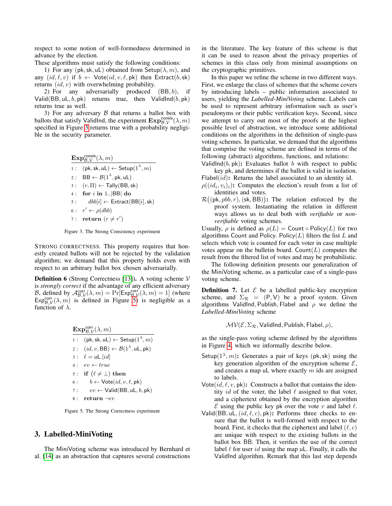respect to some notion of well-formedness determined in advance by the election.

These algorithms must satisfy the following conditions:

1) For any (pk, sk, uL) obtained from Setup( $\lambda$ , m), and any  $(id, \ell, v)$  if  $b \leftarrow \text{Vote}(id, v, \ell, \text{pk})$  then Extract $(b, \text{sk})$ returns  $(id, v)$  with overwhelming probability.

2) For any adversarially produced  $(BB, b)$ , if Valid(BB, uL, b, pk) returns true, then ValidInd(b, pk) returns true as well.

3) For any adversary  $\beta$  that returns a ballot box with ballots that satisfy ValidInd, the experiment  $\text{Exp}_{\mathcal{B}, \mathcal{V}}^{\text{consis}}(\lambda, m)$ specified in Figure 3 returns true with a probability negligible in the security parameter.

> $\mathbf{Exp}_{\mathcal{B}, \mathcal{V}}^{\mathsf{consis}}(\lambda, m)$ 1 :  $(\mathsf{pk}, \mathsf{sk}, \mathsf{uL}) \leftarrow \mathsf{Setup}(1^\lambda, m)$ 2 :  $BB \leftarrow \mathcal{B}(1^{\lambda}, \text{pk}, \text{uL})$  $3: (r, \Pi) \leftarrow \text{Tally}(BB, sk)$ 4 : for i in 1..|BB| do 5 :  $dbb[i] \leftarrow$  Extract(BB[i], sk) 6:  $r' \leftarrow \rho(dbb)$ 7: return  $(r \neq r')$

Figure 3. The Strong Consistency experiment

STRONG CORRECTNESS. This property requires that honestly created ballots will not be rejected by the validation algorithm; we demand that this property holds even with respect to an arbitrary ballot box chosen adversarially.

**Definition 6** (Strong Correctness [13]). A voting scheme  $V$ is *strongly correct* if the advantage of any efficient adversary B, defined by  $\mathcal{A}_{\mathcal{B},\mathcal{V}}^{\text{corr}}(\lambda,m) = \Pr[\text{Exp}_{\mathcal{B},\mathcal{V}}^{\text{corr}}(\lambda,m) = 1]$  (where  $Exp_{B,\mathcal{V}}^{corr}(\lambda, m)$  is defined in Figure 5) is negligible as a function of  $\lambda$ .

> $\mathbf{Exp}_{\mathcal{B},\mathcal{V}}^{\mathsf{corr}}(\lambda,m)$ 1 :  $(\mathsf{pk}, \mathsf{sk}, \mathsf{uL}) \leftarrow \mathsf{Setup}(1^\lambda, m)$ 2 :  $(id, v, \textsf{BB}) \leftarrow \mathcal{B}(1^{\lambda}, \textsf{uL}, \textsf{pk})$  $3: \ell = \mathsf{uL}.[id]$  $4:$   $ev \leftarrow true$ 5: if  $(\ell \neq \bot)$  then 6 :  $b \leftarrow \text{Vote}(id, v, \ell, \text{pk})$ 7 :  $ev \leftarrow$  Valid(BB, uL, b, pk) 8 : return  $\neg ev$

Figure 5. The Strong Correctness experiment

# 3. Labelled-MiniVoting

The MiniVoting scheme was introduced by Bernhard et al. [14] as an abstraction that captures several constructions in the literature. The key feature of this scheme is that it can be used to reason about the privacy properties of schemes in this class only from minimal assumptions on the cryptographic primitives.

In this paper we refine the scheme in two different ways. First, we enlarge the class of schemes that the scheme covers by introducing labels – public information associated to users, yielding the *Labelled-MiniVoting* scheme. Labels can be used to represent arbitrary information such as user's pseudonyms or their public verification keys. Second, since we attempt to carry out most of the proofs at the highest possible level of abstraction, we introduce some additional conditions on the algorithms in the definition of single-pass voting schemes. In particular, we demand that the algorithms that comprise the voting scheme are defined in terms of the following (abstract) algorithms, functions, and relations:

ValidInd $(b, pk)$ : Evaluates ballot  $b$  with respect to public key pk, and determines if the ballot is valid in isolation.

Flabel $(id)$ : Returns the label associated to an identity id.

- $\rho((id_i, v_i)_i)$ : Computes the election's result from a list of identities and votes.
- $\mathcal{R}((\mathsf{pk}, pbb, r), (\mathsf{sk}, \mathsf{BB}))$ : The relation enforced by the proof system. Instantiating the relation in different ways allows us to deal both with *verifiable* or *nonverifiable* voting schemes.

Usually,  $\rho$  is defined as  $\rho(L) =$  Count  $\circ$  Policy(L) for two algorithms Count and Policy. Policy $(L)$  filters the list L and selects which vote is counted for each voter in case multiple votes appear on the bulletin board. Count $(L)$  computes the result from the filtered list of votes and may be probabilistic.

The following definition presents our generalization of the MiniVoting scheme, as a particular case of a single-pass voting scheme.

**Definition 7.** Let  $\mathcal{E}$  be a labelled public-key encryption scheme, and  $\Sigma_{\mathcal{R}} = (\mathsf{P}, \mathsf{V})$  be a proof system. Given algorithms ValidInd, Publish, Flabel and  $\rho$  we define the *Labelled-MiniVoting* scheme

 $\mathcal{MV}(\mathcal{E}, \Sigma_{\mathcal{R}}, \mathsf{ValidInd}, \mathsf{Published}, \mathsf{pl})$ ,

as the single-pass voting scheme defined by the algorithms in Figure 4, which we informally describe below.

- Setup( $1^{\lambda}$ , m): Generates a pair of keys (pk, sk) using the key generation algorithm of the encryption scheme  $\mathcal{E}$ , and creates a map uL where exactly  $m$  ids are assigned to labels.
- Vote(id,  $\ell$ ,  $v$ , pk): Constructs a ballot that contains the identity id of the voter, the label  $\ell$  assigned to that voter, and a ciphertext obtained by the encryption algorithm  $\mathcal E$  using the public key pk over the vote v and label  $\ell$ .
- Valid(BB, uL,  $(id, \ell, c)$ , pk): Performs three checks to ensure that the ballot is well-formed with respect to the board. First, it checks that the ciphertext and label  $(\ell, c)$ are unique with respect to the existing ballots in the ballot box BB. Then, it verifies the use of the correct label  $\ell$  for user id using the map uL. Finally, it calls the ValidInd algorithm. Remark that this last step depends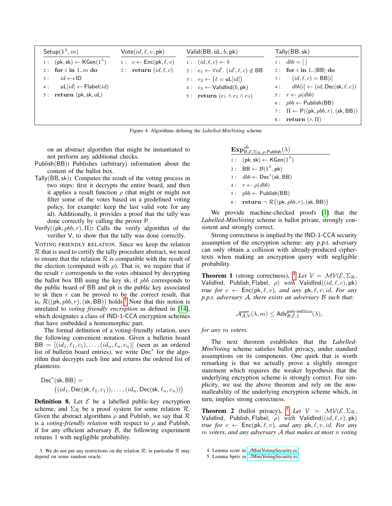|    | Setup $(1^{\lambda}, m)$                                              | $\mathsf{Vote}(id, \ell, v, \mathsf{pk})$            | Valid(BB, uL, b, pk)                                               |    | Tally(BB, sk)                                                 |
|----|-----------------------------------------------------------------------|------------------------------------------------------|--------------------------------------------------------------------|----|---------------------------------------------------------------|
|    | 1: $(\mathsf{pk}, \mathsf{sk}) \leftarrow \mathsf{KGen}(1^{\lambda})$ | 1: $c \leftarrow \textsf{Enc}(\textsf{pk}, \ell, v)$ | 1: $(id, \ell, c) \leftarrow b$                                    |    | 1: $dbb = []$                                                 |
|    | 2: for $i$ in 1 $m$ do                                                | 2: return $(id, \ell, c)$                            | 2: $e_1 \leftarrow \forall id'. (id', \ell, c) \notin \mathsf{BB}$ |    | 2: for $i$ in 1 $ BB $ do                                     |
| 3: | $id \leftarrow s \mathsf{ID}$                                         |                                                      | $3: e_2 \leftarrow (\ell = \mathsf{uL}[id])$                       | 3: | $(id, \ell, c) = BB[i]$                                       |
| 4: | $ul_id] \leftarrow \textsf{Flabel}(id)$                               |                                                      | $4: e_3 \leftarrow$ ValidInd(b, pk)                                |    | 4: $dbb[i] \leftarrow (id, \text{Dec}(\textsf{sk}, \ell, c))$ |
|    | $5:$ return (pk, sk, uL)                                              |                                                      | 5: return $(e_1 \wedge e_2 \wedge e_3)$                            |    | $5: r \leftarrow \rho(dbb)$                                   |
|    |                                                                       |                                                      |                                                                    |    | 6: $pbb \leftarrow$ Publish(BB)                               |
|    |                                                                       |                                                      |                                                                    |    | 7: $\Pi \leftarrow P((pk, pbb, r), (sk, BB))$                 |
|    |                                                                       |                                                      |                                                                    |    | 8: return $(r, \Pi)$                                          |

Figure 4. Algorithms defining the *Labelled-MiniVoting* scheme

on an abstract algorithm that might be instantiated to not perform any additional checks.

- Publish(BB): Publishes (arbitrary) information about the content of the ballot box.
- Tally(BB,sk): Computes the result of the voting process in two steps: first it decrypts the entire board, and then it applies a result function  $\rho$  (that might or might not filter some of the votes based on a predefined voting policy, for example: keep the last valid vote for any id). Additionally, it provides a proof that the tally was done correctly by calling the prover P.
- Verify( $(pk, pbb, r)$ ,  $\Pi$ ): Calls the verify algorithm of the verifier V, to show that the tally was done correctly.

VOTING FRIENDLY RELATION. Since we keep the relation  $R$  that is used to certify the tally procedure abstract, we need to ensure that the relation  $R$  is compatible with the result of the election (computed with  $\rho$ ). That is, we require that if the result  $r$  corresponds to the votes obtained by decrypting the ballot box BB using the key sk, if pbb corresponds to the public board of BB and pk is the public key associated to sk then  $r$  can be proved to be the correct result, that is,  $\mathcal{R}((pk, pbb, r), (sk, BB))$  holds.<sup>3</sup> Note that this notion is unrelated to *voting friendly encryption* as defined in [14], which designates a class of IND-1-CCA encryption schemes that have embedded a homomorphic part.

The formal definition of a voting-friendly relation, uses the following convenient notation. Given a bulletin board  $BB = [(id_1, \ell_1, c_1), \ldots, (id_n, \ell_n, c_n)]$  (seen as an ordered list of bulletin board entries), we write Dec<sup>\*</sup> for the algorithm that decrypts each line and returns the ordered list of plaintexts:

$$
Dec*(sk, BB) =((id1, Dec(sk, l1, c1)),..., (idn, Dec(sk, ln, cn)))
$$

**Definition 8.** Let  $\mathcal{E}$  be a labelled public-key encryption scheme, and  $\Sigma_{\mathcal{R}}$  be a proof system for some relation  $\mathcal{R}$ . Given the abstract algorithms  $\rho$  and Publish, we say that  $\mathcal R$ is a *voting-friendly relation* with respect to ρ and Publish, if for any efficient adversary  $\beta$ , the following experiment returns 1 with negligible probability.



$$
\frac{\text{Exp}_{\mathcal{B},\mathcal{E},\Sigma_{\mathcal{R}},\rho,\text{Published}}^{\text{vfr}}(\lambda)}{1:\quad (\text{pk},\text{sk}) \leftarrow \text{KGen}(1^{\lambda})}
$$
\n
$$
2:\quad \text{BB} \leftarrow \mathcal{B}(1^{\lambda},\text{pk})
$$
\n
$$
3:\quad dbb \leftarrow \text{Dec}^{*}(\text{sk},\text{BB})
$$
\n
$$
4:\quad r \leftarrow \rho(dbb)
$$
\n
$$
5:\quad pbb \leftarrow \text{Published}(BB)
$$
\n
$$
6:\quad \text{return } \neg \mathcal{R}((\text{pk},pbb,r),(\text{sk},\text{BB}))
$$

We provide machine-checked proofs [1] that the *Labelled-MiniVoting* scheme is ballot private, strongly consistent and strongly correct.

Strong correctness is implied by the IND-1-CCA security assumption of the encryption scheme: any p.p.t. adversary can only obtain a collision with already-produced ciphertexts when making an encryption query with negligible probability.

**Theorem 1** (strong correctness). <sup>4</sup> *Let*  $\mathcal{V} = \mathcal{MV}(\mathcal{E}, \Sigma_{\mathcal{R}},$ ValidInd, Publish, Flabel,  $\rho$ ) *with* ValidInd((id,  $\ell$ , c), pk) *true for*  $c \leftarrow \text{Enc}(\text{pk}, \ell, v)$ *, and any*  $\text{pk}, \ell, v, id$ *. For any p.p.t. adversary* A*, there exists an adversary* B *such that:*

$$
\mathcal{A}^{\text{corr}}_{\mathcal{A}, \mathcal{V}}(\lambda, m) \leq \mathsf{Adv}_{\mathcal{B}, \mathcal{E}, 1}^{\text{poly-indlcca}}(\lambda),
$$

*for any* m *voters.*

The next theorem establishes that the *Labelled-MiniVoting* scheme satisfies ballot privacy, under standard assumptions on its components. One quirk that is worth remarking is that we actually prove a slightly stronger statement which requires the weaker hypothesis that the underlying encryption scheme is strongly correct. For simplicity, we use the above theorem and rely on the nonmalleability of the underlying encryption scheme which, in turn, implies strong correctness.

**Theorem 2** (ballot privacy). <sup>5</sup> *Let*  $V = \mathcal{MV}(\mathcal{E}, \Sigma_{\mathcal{R}},$ ValidInd, Publish, Flabel,  $\rho$ ) *with* ValidInd( $(id, \ell, c)$ , pk) *true for*  $c \leftarrow \text{Enc}(\text{pk}, \ell, v)$ *, and any*  $\text{pk}, \ell, v, id$ *. For any* m *voters, and any adversary* A *that makes at most* n *voting*

<sup>4.</sup> Lemma scorr in [../MiniVotingSecurity.ec](https://github.com/catalindragan/minivoting-privacy/tree/master/proof/MiniVoting/MiniVotingSecurity.ec)

<sup>5.</sup> Lemma bpriv in [../MiniVotingSecurity.ec](https://github.com/catalindragan/minivoting-privacy/tree/master/proof/MiniVoting/MiniVotingSecurity.ec)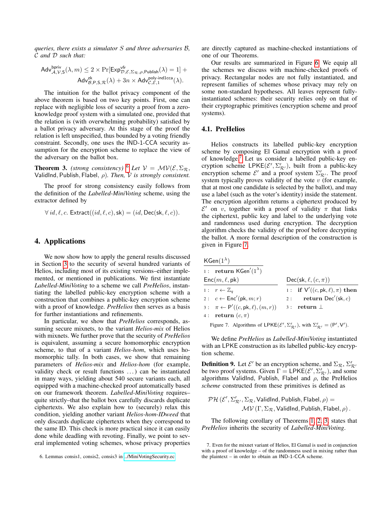*queries, there exists a simulator* S *and three adversaries* B*,* C *and* D *such that:*

$$
\mathsf{Adv}_{\mathcal{A},\mathcal{V},\mathsf{S}}^{\mathsf{bpriv}}(\lambda,m) \le 2 \times \Pr[\mathsf{Exp}_{\mathcal{D},\mathcal{E},\Sigma_{\mathcal{R}},\rho,\mathsf{Published}}^{\mathsf{vfr}}(\lambda) = 1] + \mathsf{Adv}_{\mathcal{B},\mathsf{P},\mathsf{S},\mathcal{R}}^{\mathsf{zk}}(\lambda) + 3n \times \mathsf{Adv}_{\mathcal{C},\mathcal{E},1}^{\mathsf{poly-indlcca}}(\lambda).
$$

The intuition for the ballot privacy component of the above theorem is based on two key points. First, one can replace with negligible loss of security a proof from a zeroknowledge proof system with a simulated one, provided that the relation is (with overwhelming probability) satisfied by a ballot privacy adversary. At this stage of the proof the relation is left unspecified, thus bounded by a voting friendly constraint. Secondly, one uses the IND-1-CCA security assumption for the encryption scheme to replace the view of the adversary on the ballot box.

**Theorem 3.** *(strong consistency)* <sup>6</sup> *Let*  $V = MV(\mathcal{E}, \Sigma_{\mathcal{R}})$ ValidInd, Publish, Flabel, ρ)*. Then,* V *is strongly consistent.*

The proof for strong consistency easily follows from the definition of the *Labelled-MiniVoting* scheme, using the extractor defined by

$$
\forall id, \ell, c. \text{ Extract}((id, \ell, c), \text{sk}) = (id, \text{Dec}(\text{sk}, \ell, c)).
$$

# 4. Applications

We now show how to apply the general results discussed in Section 3 to the security of several hundred variants of Helios, including most of its existing versions–either implemented, or mentioned in publications. We first instantiate *Labelled-MiniVoting* to a scheme we call *PreHelios*, instantiating the labelled public-key encryption scheme with a construction that combines a public-key encryption scheme with a proof of knowledge. *PreHelios* then serves as a basis for further instantiations and refinements.

In particular, we show that *PreHelios* corresponds, assuming secure mixnets, to the variant *Helios-mix* of Helios with mixnets. We further prove that the security of *PreHelios* is equivalent, assuming a secure homomorphic encryption scheme, to that of a variant *Helios-hom*, which uses homomorphic tally. In both cases, we show that remaining parameters of *Helios-mix* and *Helios-hom* (for example, validity check or result functions . . . ) can be instantiated in many ways, yielding about 540 secure variants each, all equipped with a machine-checked proof automatically based on our framework theorem. *Labelled-MiniVoting* requires– quite strictly–that the ballot box carefully discards duplicate ciphertexts. We also explain how to (securely) relax this condition, yielding another variant *Helios-hom-IDweed* that only discards duplicate ciphertexts when they correspond to the same ID. This check is more practical since it can easily done while deadling with revoting. Finally, we point to several implemented voting schemes, whose privacy properties are directly captured as machine-checked instantiations of one of our Theorems.

Our results are summarized in Figure 6. We equip all the schemes we discuss with machine-checked proofs of privacy. Rectangular nodes are not fully instantiated, and represent families of schemes whose privacy may rely on some non-standard hypotheses. All leaves represent fullyinstantiated schemes: their security relies only on that of their cryptographic primitives (encryption scheme and proof systems).

#### 4.1. PreHelios

Helios constructs its labelled public-key encryption scheme by composing El Gamal encryption with a proof of knowledge.7 Let us consider a labelled public-key encryption scheme LPKE( $\mathcal{E}', \Sigma'_{\mathcal{R}'},$ ), built from a public-key encryption scheme  $\mathcal{E}'$  and a proof system  $\Sigma'_{\mathcal{R}'}$ . The proof system typically proves validity of the vote  $v$  (for example, that at most one candidate is selected by the ballot), and may use a label (such as the voter's identity) inside the statement. The encryption algorithm returns a ciphertext produced by  $\mathcal{E}'$  on v, together with a proof of validity  $\pi$  that links the ciphertext, public key and label to the underlying vote and randomness used during encryption. The decryption algorithm checks the validity of the proof before decrypting the ballot. A more formal description of the construction is given in Figure 7.

| KGen( |  |
|-------|--|
|       |  |

| 1: return KGen'( $1^{\lambda}$ )                   |                                     |
|----------------------------------------------------|-------------------------------------|
| $Enc(m, \ell, pk)$                                 | $Dec(\mathsf{sk}, \ell, (c, \pi))$  |
| 1: $r \leftarrow \mathbb{Z}_q$                     | 1: if $V'((c, pk, \ell), \pi)$ then |
| 2: $c \leftarrow \textsf{Enc}'(\textsf{pk}, m; r)$ | 2: return $Dec'(sk, c)$             |
| $3: \pi \leftarrow P'((c, pk, \ell), (m, r))$      | $3:$ return $\perp$                 |
| 4: return $(c, \pi)$                               |                                     |
|                                                    |                                     |

Figure 7. Algorithms of LPKE( $\mathcal{E}', \Sigma'_{\mathcal{R}'},$ ), with  $\Sigma'_{\mathcal{R}'} = (\mathsf{P}', \mathsf{V}').$ 

We define *PreHelios* as *Labelled-MiniVoting* instantiated with an LPKE construction as its labelled public-key encryption scheme.

**Definition 9.** Let  $\mathcal{E}'$  be an encryption scheme, and  $\Sigma_{\mathcal{R}}$ ,  $\Sigma'_{\mathcal{R}'}$ be two proof systems. Given  $\Gamma = \text{LPKE}(\mathcal{E}', \Sigma'_{\mathcal{R}'})$ , and some algorithms ValidInd, Publish, Flabel and  $\rho$ , the PreHelios *scheme* constructed from these primitives is defined as

 ${\cal PH} \left( {\cal E}^{\prime}, \Sigma^{\prime}_{{\cal R}^{\prime}}, \Sigma_{{\cal R}}, \mathsf{ValidInd}, \mathsf{Published}, \mathsf{False} \right) =$  $\mathcal{MV}(\Gamma, \Sigma_{\mathcal{R}}, \mathsf{ValidInd}, \mathsf{Published}, \mathsf{False}), \rho$ ).

The following corollary of Theorems 1, 2, 3, states that *PreHelios* inherits the security of *Labelled-MiniVoting*.

<sup>6.</sup> Lemmas consis1, consis2, consis3 in [../MiniVotingSecurity.ec](https://github.com/catalindragan/minivoting-privacy/tree/master/proof/MiniVoting/MiniVotingSecurity.ec)

<sup>7.</sup> Even for the mixnet variant of Helios, El Gamal is used in conjunction with a proof of knowledge – of the randomness used in mixing rather than the plaintext – in order to obtain an IND-1-CCA scheme.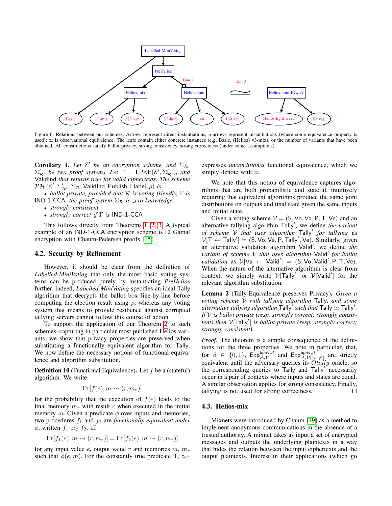

Figure 6. Relations between our schemes. Arrows represent direct instantiations, o-arrows represent instantiations (where some equivalence property is used);  $\simeq$  is observational equivalence. The leafs contain either concrete instances (e.g. Basic, (Helios) v3-mix), or the number of variants that have been obtained. All constructions satisfy ballot privacy, strong consistency, strong correctness (under some assumptions).

**Corollary 1.** Let  $\mathcal{E}'$  be an encryption scheme, and  $\Sigma_{\mathcal{R}}$ ,  $\Sigma'_{\mathcal{R}}$ , be two proof systems. Let  $\Gamma = \text{LPKE}(\mathcal{E}', \Sigma'_{\mathcal{R}'})$ , and ValidInd *that returns true for valid ciphertexts. The scheme*  ${\cal PH}\left( {\cal E}^{\prime}, \Sigma_{\cal R}^{\prime}, \Sigma_{\cal R}, \mathsf{ValidInd}, \mathsf{Published}, \mathsf{Flabel}, \rho \right)$   $is$ 

• *ballot private, provided that* R *is voting friendly,* Γ *is* IND-1-CCA, the proof system  $\Sigma_{\mathcal{R}}$  is zero-knowledge.

• *strongly consistent.*

• *strongly correct if* Γ *is* IND*-*1*-*CCA

This follows directly from Theorems 1, 2, 3. A typical example of an IND-1-CCA encryption scheme is El Gamal encryption with Chaum-Pedersen proofs [15].

#### 4.2. Security by Refinement

However, it should be clear from the definition of *Labelled-MiniVoting* that only the most basic voting systems can be produced purely by instantiating *PreHelios* further. Indeed, *Labelled-MiniVoting* specifies an ideal Tally algorithm that decrypts the ballot box line-by-line before computing the election result using  $\rho$ , whereas any voting system that means to provide resilience against corrupted tallying servers cannot follow this course of action.

To support the application of our Theorem 2 to such schemes–capturing in particular most published Helios variants, we show that privacy properties are preserved when substituting a functionally equivalent algorithm for Tally. We now define the necessary notions of functional equivalence and algorithm substitution.

**Definition 10** (Functional Equivalence). Let  $f$  be a (stateful) algorithm. We write

$$
Pr[f(e), m \leadsto (r, m_r)]
$$

for the probability that the execution of  $f(e)$  leads to the final memory  $m_r$  with result r when executed in the initial memory m. Given a predicate  $\phi$  over inputs and memories, two procedures  $f_1$  and  $f_2$  are *functionally equivalent under*  $\phi$ , written  $f_1 \simeq_{\phi} f_2$ , iff

$$
Pr[f_1(e), m \leadsto (r, m_r)] = Pr[f_2(e), m \leadsto (r, m_r)]
$$

for any input value  $e$ , output value  $r$  and memories  $m$ ,  $m_r$ such that  $\phi(e, m)$ . For the constantly true predicate T,  $\simeq_{\text{T}}$ 

expresses *unconditional* functional equivalence, which we simply denote with  $\simeq$ .

We note that this notion of equivalence captures algorithms that are both probabilistic and stateful, intuitively requiring that equivalent algorithms produce the same joint distributions on outputs and final state given the same inputs and initial state.

Given a voting scheme  $V = (S, V_0, V_a, P, T, V_e)$  and an alternative tallying algorithm Tally', we define *the variant* of scheme V that uses algorithm Tally' for tallying as  $\mathcal{V}[\mathsf{T} \leftarrow \mathsf{T}$ ally'] = (S, Vo, Va, P, Tally', Ve). Similarly, given an alternative validation algorithm Valid', we define the variant of scheme V that uses algorithm Valid' for ballot  $validation$  as  $V[Va \leftarrow Valid'] = (S, Vo, Valid', P, T, Ve)$ . When the nature of the alternative algorithm is clear from context, we simply write  $V[Tally']$  or  $V[Vali d']$  for the relevant algorithm substitution.

Lemma 2 (Tally-Equivalence preserves Privacy). *Given a voting scheme* V *with tallying algorithm* Tally*, and some alternative tallying algorithm*  $\text{Taily}'$  *such that*  $\text{Taily} \simeq \text{Taily}'.$ *If* V *is ballot private (resp. strongly correct; strongly consistent*) then  $V[\hat{T}$ ally'] is ballot private (resp. strongly correct; *strongly consistent).*

*Proof.* The theorem is a simple consequence of the definitions for the three properties. We note in particular, that, for  $\beta \in \{0, 1\}$ ,  $\mathsf{Exp}_{\mathcal{A}, \mathcal{V}}^{\mathsf{bpriv}, \beta}$  and  $\mathsf{Exp}_{\mathcal{A}, \mathcal{V}}^{\mathsf{bpriv}, \beta}$  are strictly equivalent until the adversary queries its  $Orally$  oracle, so the corresponding queries to Tally and Tally' necessarily occur in a pair of contexts where inputs and states are equal. A similar observation applies for strong consistency. Finally, tallying is not used for strong correctness.  $\Box$ 

#### 4.3. Helios-mix

Mixnets were introduced by Chaum [19] as a method to implement anonymous communications in the absence of a trusted authority. A mixnet takes as input a set of encrypted messages and outputs the underlying plaintexts in a way that hides the relation between the input ciphertexts and the output plaintexts. Interest in their applications (which go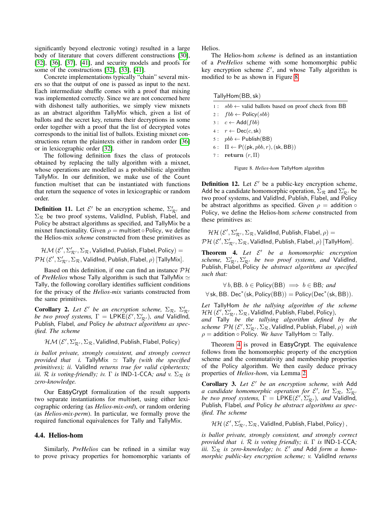significantly beyond electronic voting) resulted in a large body of literature that covers different constructions [30], [32], [36], [37], [41], and security models and proofs for some of the constructions [32], [33], [41].

Concrete implementations typically "chain" several mixers so that the output of one is passed as input to the next. Each intermediate shuffle comes with a proof that mixing was implemented correctly. Since we are not concerned here with dishonest tally authorities, we simply view mixnets as an abstract algorithm TallyMix which, given a list of ballots and the secret key, returns their decryptions in some order together with a proof that the list of decrypted votes corresponds to the initial list of ballots. Existing mixnet constructions return the plaintexts either in random order [36] or in lexicographic order [32].

The following definition fixes the class of protocols obtained by replacing the tally algorithm with a mixnet, whose operations are modelled as a probabilistic algorithm TallyMix. In our definition, we make use of the Count function multiset that can be instantiated with functions that return the sequence of votes in lexicographic or random order.

**Definition 11.** Let  $\mathcal{E}'$  be an encryption scheme,  $\Sigma'_{\mathcal{R}'}$  and  $\Sigma_{\mathcal{R}}$  be two proof systems, ValidInd, Publish, Flabel, and Policy be abstract algorithms as specified, and TallyMix be a mixnet functionality. Given  $\rho$  = multiset  $\circ$  Policy, we define the Helios-mix *scheme* constructed from these primitives as

 ${\mathcal H}{\mathcal M}\left( {\mathcal E}^\prime, \Sigma_{{\mathcal R}^\prime}, \Sigma_{\mathcal R}, \mathsf{ValidInd}, \mathsf{Published}, \mathsf{Flabel}, \mathsf{Policy} \right) =$  ${\cal PH} \left( {\cal E}^\prime, \Sigma^\prime_{{\cal R}^\prime}, \Sigma_{\cal R}, \mathsf{ValidInd}, \mathsf{Published}, \mathsf{False} \right)$  [TallyMix].

Based on this definition, if one can find an instance  $\mathcal{PH}$ of *PreHelios* whose Tally algorithm is such that TallyMix  $\simeq$ Tally, the following corollary identifies sufficient conditions for the privacy of the *Helios-mix* variants constructed from the same primitives.

**Corollary 2.** *Let*  $\mathcal{E}'$  *be an encryption scheme,*  $\Sigma_{\mathcal{R}}$ *,*  $\Sigma'_{\mathcal{R}'}$ *, be two proof systems,*  $\Gamma = \text{LPKE}(\mathcal{E}', \Sigma'_{\mathcal{R}'})$ *, and* ValidInd*,* Publish*,* Flabel*, and* Policy *be abstract algorithms as specified. The scheme*

 ${\mathcal H}{\mathcal M}\left( {\mathcal E}^\prime, \Sigma_{\mathcal R}^\prime, \Sigma_{\mathcal R}, \mathsf{ValidInd}, \mathsf{Published}, \mathsf{Policy} \right)$ 

*is ballot private, strongly consistent, and strongly correct provided that i.* TallyMix  $\simeq$  Tally *(with the specified primitives); ii.* ValidInd *returns true for valid ciphertexts; iii.*  $\mathcal{R}$  *is voting-friendly; iv.*  $\Gamma$  *is* IND-1-CCA*; and v.*  $\Sigma_{\mathcal{R}}$  *is zero-knowledge.*

Our EasyCrypt formalization of the result supports two separate instantiations for multiset, using either lexicographic ordering (as *Helios-mix-ord*), or random ordering (as *Helios-mix-perm*). In particular, we formally prove the required functional equivalences for Tally and TallyMix.

### 4.4. Helios-hom

Similarly, *PreHelios* can be refined in a similar way to prove privacy properties for homomorphic variants of Helios.

The Helios-hom *scheme* is defined as an instantiation of a *PreHelios* scheme with some homomorphic public key encryption scheme  $\mathcal{E}'$ , and whose Tally algorithm is modified to be as shown in Figure 8.

TallyHom(BB,sk)

1: 
$$
sbb \leftarrow
$$
 valid balls based on proof check from BB

- $fbb \leftarrow$  Policy(sbb)
- $c \leftarrow \mathsf{Add}(fbb)$
- $4: r \leftarrow \textsf{Dec}(c, \textsf{sk})$
- 5 :  $pbb \leftarrow$  Publish(BB)
- 6 :  $\Pi \leftarrow P((pk, pbb, r), (sk, BB))$
- 7 : return  $(r, \Pi)$

Figure 8. *Helios-hom* TallyHom algorithm

**Definition 12.** Let  $\mathcal{E}'$  be a public-key encryption scheme, Add be a candidate homomorphic operation,  $\Sigma_{\mathcal{R}}$  and  $\Sigma_{\mathcal{R}'}'$  be two proof systems, and ValidInd, Publish, Flabel, and Policy be abstract algorithms as specified. Given  $\rho =$  addition  $\circ$ Policy, we define the Helios-hom *scheme* constructed from these primitives as:

 $\mathcal{HH}\left(\mathcal{E}^{\prime},\Sigma_{\mathcal{R}^{\prime}}^{\prime},\Sigma_{\mathcal{R}}, \mathsf{ValidInd}, \mathsf{Published}, \mathsf{False} \right|, \rho) =$  ${\cal PH} \left( {\cal E}^\prime, \Sigma^\prime_{{\cal R}^\prime}, \Sigma_{\cal R}, \mathsf{ValidInd}, \mathsf{Published}, \mathsf{False} \right)$  [TallyHom].

Theorem 4. Let  $\mathcal{E}'$  be a homomorphic encryption *scheme,*  $\Sigma_{\mathcal{R}}', \Sigma_{\mathcal{R}'}'$  *be two proof systems, and* ValidInd, Publish, Flabel, Policy *be abstract algorithms as specified such that:*

 $\forall b, \text{BB. } b \in \text{Policy}(\text{BB}) \implies b \in \text{BB}$ ; and  $\forall$  sk, BB. Dec $*($ sk, Policy $(BB)) =$  Policy $(Dec^*(sk, BB)).$ 

*Let* TallyHom *be the tallying algorithm of the scheme*  ${\cal HH}\left( {\cal E}^\prime,\Sigma_{{\cal R}^\prime}^\prime,\Sigma_{{\cal R}},$  ValidInd, Publish, Flabel, Policy), *and* Tally *be the tallying algorithm defined by the*  $\emph{scheme }\ \mathcal{PH}\left(\mathcal{E}^{\prime},\Sigma_{\mathcal{R}^{\prime}}^{\prime},\Sigma_{\mathcal{R}},\mathsf{ValidInd},\mathsf{Published},\mathsf{P} \right) \textit{ with }$  $\rho =$  addition  $\circ$  Policy. We have TallyHom  $\simeq$  Tally.

Theorem 4 is proved in EasyCrypt. The equivalence follows from the homomorphic property of the encryption scheme and the commutativity and membership properties of the Policy algorithm. We then easily deduce privacy properties of *Helios-hom*, via Lemma 2.

Corollary 3. Let  $\mathcal{E}'$  be an encryption scheme, with Add *a* candidate homomorphic operation for  $\mathcal{E}'$ , let  $\Sigma_{\mathcal{R}}$ ,  $\Sigma'_{\mathcal{R}'}$ , be two proof systems,  $\Gamma = \text{LPKE}(\mathcal{E}', \Sigma'_{\mathcal{R}'})$ , and ValidInd, Publish*,* Flabel*, and* Policy *be abstract algorithms as specified. The scheme*

 $\mathcal{HH}\left(\mathcal{E}^\prime, \Sigma^\prime_{\mathcal{R}^\prime}, \Sigma_\mathcal{R}, \mathsf{ValidInd}, \mathsf{Published}, \mathsf{Policy}\right),$ 

*is ballot private, strongly consistent, and strongly correct provided that i.* R *is voting friendly; ii.* Γ *is* IND*-*1*-*CCA*;*  $\delta$ *iii.*  $\Sigma_{\mathcal{R}}$  *is zero-knowledge; iv.*  $\mathcal{E}'$  *and* Add *form a homomorphic public-key encryption scheme; v.* ValidInd *returns*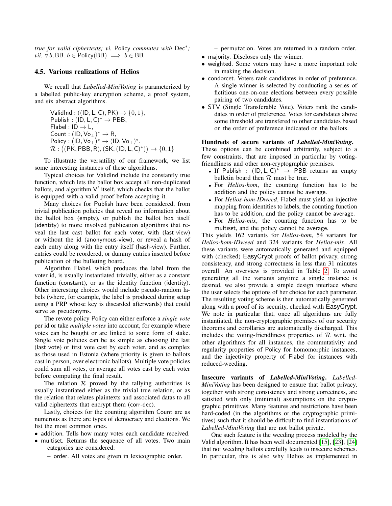*true for valid ciphertexts; vi.* Policy *commutes with* Dec<sup>∗</sup> *; vii.*  $\forall b$ , BB.  $b \in$  Policy(BB)  $\implies b \in$  BB.

#### 4.5. Various realizations of Helios

We recall that *Labelled-MiniVoting* is parameterized by a labelled public-key encryption scheme, a proof system, and six abstract algorithms.

> ValidInd :  $((ID, L, C), PK) \rightarrow \{0, 1\},$ Publish:  $(\overrightarrow{ID}, \overrightarrow{L}, \overrightarrow{C})^* \rightarrow \overrightarrow{PBB}$ , Flabel :  $ID \rightarrow L$ ,  $Count : (ID, Vo<sub>⊥</sub>)^* \rightarrow R,$ Policy :  $(ID, Vo<sub>⊥</sub>)^* \rightarrow (ID, Vo<sub>⊥</sub>)^*,$  $R: ((PK, PBB, R), (SK, (ID, L, C)^*)) \rightarrow \{0, 1\}$

To illustrate the versatility of our framework, we list some interesting instances of these algorithms.

Typical choices for ValidInd include the constantly true function, which lets the ballot box accept all non-duplicated ballots, and algorithm V' itself, which checks that the ballot is equipped with a valid proof before accepting it.

Many choices for Publish have been considered, from trivial publication policies that reveal no information about the ballot box (empty), or publish the ballot box itself (identity) to more involved publication algorithms that reveal the last cast ballot for each voter, with (last view) or without the id (anonymous-view), or reveal a hash of each entry along with the entry itself (hash-view). Further, entries could be reordered, or dummy entries inserted before publication of the bulleting board.

Algorithm Flabel, which produces the label from the voter id, is usually instantiated trivially, either as a constant function (constant), or as the identity function (identity). Other interesting choices would include pseudo-random labels (where, for example, the label is produced during setup using a PRP whose key is discarded afterwards) that could serve as pseudonyms.

The revote policy Policy can either enforce a *single vote* per id or take *multiple votes* into account, for example where votes can be bought or are linked to some form of stake. Single vote policies can be as simple as choosing the last (last vote) or first vote cast by each voter, and as complex as those used in Estonia (where priority is given to ballots cast in person, over electronic ballots). Multiple vote policies could sum all votes, or average all votes cast by each voter before computing the final result.

The relation  $\mathcal R$  proved by the tallying authorities is usually instantiated either as the trivial true relation, or as the relation that relates plaintexts and associated datas to all valid ciphertexts that encrypt them (corr-dec).

Lastly, choices for the counting algorithm Count are as numerous as there are types of democracy and elections. We list the most common ones.

- addition*.* Tells how many votes each candidate received.
- multiset*.* Returns the sequence of all votes. Two main categories are considered:
	- order. All votes are given in lexicographic order.

– permutation. Votes are returned in a random order.

- majority*.* Discloses only the winner.
- weighted. Some voters may have a more important role in making the decision.
- condorcet*.* Voters rank candidates in order of preference. A single winner is selected by conducting a series of fictitious one-on-one elections between every possible pairing of two candidates.
- STV (Single Transferable Vote). Voters rank the candidates in order of preference. Votes for candidates above some threshold are transfered to other candidates based on the order of preference indicated on the ballots.

#### Hundreds of secure variants of *Labelled-MiniVoting*.

These options can be combined arbitrarily, subject to a few constraints, that are imposed in particular by votingfriendliness and other non-cryptographic premises.

- If Publish :  $(ID, L, C)^* \rightarrow$  PBB returns an empty bullet the board then  $R$  must be true.
- For *Helios-hom*, the counting function has to be addition and the policy cannot be average.
- For *Helios-hom-IDweed*, Flabel must yield an injective mapping from identities to labels, the counting function has to be addition, and the policy cannot be average.
- For *Helios-mix*, the counting function has to be multiset, and the policy cannot be average.

This yields 162 variants for *Helios-hom*, 54 variants for *Helios-hom-IDweed* and 324 variants for *Helios-mix*. All these variants were automatically generated and equipped with (checked) EasyCrypt proofs of ballot privacy, strong consistency, and strong correctness in less than 31 minutes overall. An overview is provided in Table 2. To avoid generating all the variants anytime a single instance is desired, we also provide a simple design interface where the user selects the options of her choice for each parameter. The resulting voting scheme is then automatically generated along with a proof of its security, checked with EasyCrypt. We note in particular that, once all algorithms are fully instantiated, the non-cryptographic premises of our security theorems and corollaries are automatically discharged. This includes the voting-friendliness properties of  $\mathcal R$  w.r.t. the other algorithms for all instances, the commutativity and regularity properties of Policy for homomorphic instances, and the injectivity property of Flabel for instances with reduced-weeding.

Insecure variants of *Labelled-MiniVoting*. *Labelled-MiniVoting* has been designed to ensure that ballot privacy, together with strong consistency and strong correctness, are satisfied with only (minimal) assumptions on the cryptographic primitives. Many features and restrictions have been hard-coded (in the algorithms or the cryptographic primitives) such that it should be difficult to find instantiations of *Labelled-MiniVoting* that are not ballot private.

One such feature is the weeding process modeled by the Valid algorithm. It has been well documented [15], [23], [24] that not weeding ballots carefully leads to insecure schemes. In particular, this is also why Helios as implemented in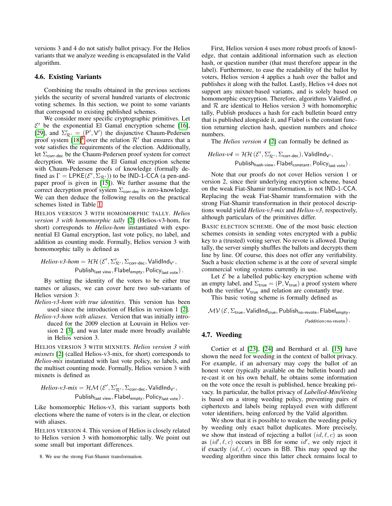versions 3 and 4 do not satisfy ballot privacy. For the Helios variants that we analyze weeding is encapsulated in the Valid algorithm.

## 4.6. Existing Variants

Combining the results obtained in the previous sections yields the security of several hundred variants of electronic voting schemes. In this section, we point to some variants that correspond to existing published schemes.

We consider more specific cryptographic primitives. Let  $\mathcal{E}'$  be the exponential El Gamal encryption scheme [16], [29], and  $\Sigma'_{\mathcal{R}'} = (P', V')$  the disjunctive Chaum-Pedersen proof system [18]<sup>8</sup> over the relation  $\mathcal{R}'$  that ensures that a vote satisfies the requirements of the election. Additionally, let  $\Sigma_{\text{corr-dec}}$  be the Chaum-Pedersen proof system for correct decryption. We assume the El Gamal encryption scheme with Chaum-Pedersen proofs of knowledge (formally defined as  $\Gamma = \text{LPKE}(\mathcal{E}', \Sigma_{\mathcal{R}'})$ ) to be IND-1-CCA (a pen-andpaper proof is given in [15]). We further assume that the correct decryption proof system  $\Sigma_{\text{corr-dec}}$  is zero-knowledge. We can then deduce the following results on the practical schemes listed in Table 1.

HELIOS VERSION 3 WITH HOMOMORPHIC TALLY. *Helios version 3 with homomorphic tally* [2] (Helios-v3-hom, for short) corresponds to *Helios-hom* instantiated with exponential El Gamal encryption, last vote policy, no label, and addition as counting mode. Formally, Helios version 3 with homomorphic tally is defined as

$$
\begin{aligned} Helios-v3\text{-}hom&=\mathcal{HH}\left(\mathcal{E}',\Sigma_{\mathcal{R}'}',\Sigma_{\mathrm{corr-dec}},\mathsf{ValidInd}_{V'},\\ \text{Published}_{\mathrm{last\,view}},\mathsf{False}_{\mathrm{empty}},\mathsf{Policy}_{\mathrm{last\,vote}}\right). \end{aligned}
$$

By setting the identity of the voters to be either true names or aliases, we can cover here two sub-variants of Helios version 3:

*Helios-v3-hom with true identities.* This version has been used since the introduction of Helios in version 1 [2].

*Helios-v3-hom with aliases.* Version that was initially introduced for the 2009 election at Louvain in Helios version 2 [3], and was later made more broadly available in Helios version 3.

HELIOS VERSION 3 WITH MIXNETS. *Helios version 3 with mixnets* [2] (called Helios-v3-mix, for short) corresponds to *Helios-mix* instantiated with last vote policy, no labels, and the multiset counting mode. Formally, Helios version 3 with mixnets is defined as

*Helios-v3-mix* = 
$$
\mathcal{HM}(\mathcal{E}', \Sigma'_{\mathcal{R}'}, \Sigma_{\text{corr-dec}}, \text{ValidInd}_{V'},
$$
  
Published<sub>last view</sub>,  $\text{False}_{\text{empty}}$ ,  $\text{Policy}_{\text{last vote}})$ .

Like homomorphic Helios-v3, this variant supports both elections where the name of voters is in the clear, or election with aliases.

HELIOS VERSION 4. This version of Helios is closely related to Helios version 3 with homomorphic tally. We point out some small but important differences.

First, Helios version 4 uses more robust proofs of knowledge, that contain additional information such as election hash, or question number (that must therefore appear in the label). Furthermore, to ease the readability of the ballot by voters, Helios version 4 applies a hash over the ballot and publishes it along with the ballot. Lastly, Helios v4 does not support any mixnet-based variants, and is solely based on homomorphic encryption. Therefore, algorithms ValidInd,  $\rho$ and  $R$  are identical to Helios version 3 with homomorphic tally, Publish produces a hash for each bulletin board entry that is published alongside it, and Flabel is the constant function returning election hash, question numbers and choice numbers.

The *Helios version 4* [2] can formally be defined as

$$
\begin{aligned} Helios-v4 &= \mathcal{HH}\left(\mathcal{E}', \Sigma'_{\mathcal{R}'}, \Sigma_{\text{corr-dec}}\right), \text{ValidInd}_{V'},\\ \text{Published}_{\text{hash-view}}, \text{Flabel}_{\text{constant}}, \text{Policy}_{\text{last vote}}\right). \end{aligned}
$$

Note that our proofs do not cover Helios version 1 or version 2, since their underlying encryption scheme, based on the weak Fiat-Shamir transformation, is not IND-1-CCA. Replacing the weak Fiat-Shamir transformation with the strong Fiat-Shamir transformation in their protocol descriptions would yield *Helios-v3-mix* and *Helios-v3*, respectively, although particulars of the primitives differ.

BASIC ELECTION SCHEME. One of the most basic election schemes consists in sending votes encrypted with a public key to a (trusted) voting server. No revote is allowed. During tally, the server simply shuffles the ballots and decrypts them line by line. Of course, this does not offer any verifiability. Such a basic election scheme is at the core of several simple commercial voting systems currently in use.

Let  $\mathcal E$  be a labelled public-key encryption scheme with an empty label, and  $\Sigma_{true} = (P, V_{true})$  a proof system where both the verifier  $V_{true}$  and relation are constantly true.

This basic voting scheme is formally defined as

$$
\mathcal{MV}\left(\mathcal{E}, \Sigma_{\mathsf{true}}, \mathsf{ValidInd}_{\mathsf{true}}, \mathsf{Published}_{\mathsf{no-revote}}, \mathsf{False}_{\mathsf{empty}}, \right) \notag \\ \rho_{\mathsf{additionono-revote}}\right).
$$

#### 4.7. Weeding

Cortier et al [23], [24] and Bernhard et al. [15] have shown the need for weeding in the context of ballot privacy. For example, if an adversary may copy the ballot of an honest voter (typically available on the bulletin board) and re-cast it on his own behalf, he obtains some information on the vote once the result is published, hence breaking privacy. In particular, the ballot privacy of *Labelled-MiniVoting* is based on a strong weeding policy, preventing pairs of ciphertexts and labels being replayed even with different voter identifiers, being enforced by the Valid algorithm.

We show that it is possible to weaken the weeding policy by weeding only exact ballot duplicates. More precisely, we show that instead of rejecting a ballot  $(id, \ell, c)$  as soon as  $(id', \ell, c)$  occurs in BB for some  $id'$ , we only reject it if exactly  $(id, \ell, c)$  occurs in BB. This may speed up the weeding algorithm since this latter check remains local to

<sup>8.</sup> We use the strong Fiat-Shamir transformation.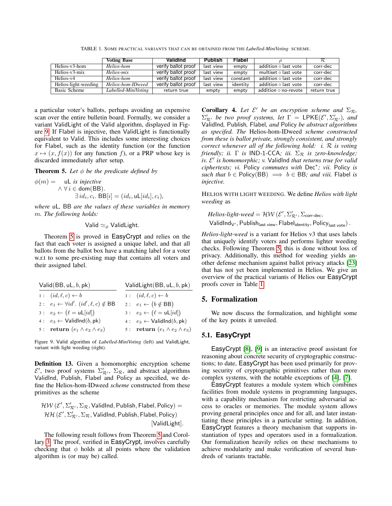TABLE 1. SOME PRACTICAL VARIANTS THAT CAN BE OBTAINED FROM THE *Labelled-MiniVoting* SCHEME.

|                      | <b>Voting Base</b>  | ValidInd            | Publish   | Flabel   |                      |             |
|----------------------|---------------------|---------------------|-----------|----------|----------------------|-------------|
| Helios-y3-hom        | Helios-hom          | verify ballot proof | last view | empty    | addition ○ last vote | corr-dec    |
| Helios-v3-mix        | Helios-mix          | verify ballot proof | last view | empty    | multiset o last vote | corr-dec    |
| Helios-y4            | Helios-hom          | verify ballot proof | last view | constant | addition ○ last vote | corr-dec    |
| Helios-light-weeding | Helios-hom-IDweed   | verify ballot proof | last view | identity | addition ○ last vote | corr-dec    |
| Basic Scheme         | Labelled-MiniVoting | return true         | empty     | empty    | addition ∘ no-revote | return true |

a particular voter's ballots, perhaps avoiding an expensive scan over the entire bulletin board. Formally, we consider a variant ValidLight of the Valid algorithm, displayed in Figure 9. If Flabel is injective, then ValidLight is functionally equivalent to Valid. This includes some interesting choices for Flabel, such as the identity function (or the function  $x \mapsto (x, f(x))$  for any function f), or a PRP whose key is discarded immediately after setup.

**Theorem 5.** Let  $\phi$  be the predicate defined by

$$
\phi(m) = \text{ul. is injective}
$$
  

$$
\land \forall i \in \text{dom}(\text{BB}).
$$
  

$$
\exists id_i, c_i. \text{ BB}[i] = (id_i, \text{ul}[id_i], c_i),
$$

*where* uL*,* BB *are the values of these variables in memory* m*. The following holds:*

Valid  $\simeq_{\phi}$  ValidLight.

Theorem 5 is proved in EasyCrypt and relies on the fact that each voter is assigned a unique label, and that all ballots from the ballot box have a matching label for a voter w.r.t to some pre-existing map that contains all voters and their assigned label.

| Valid(BB, uL, b, pk) |                                                                      | ValidLight(BB, $uL, b, pk$ )                   |  |  |
|----------------------|----------------------------------------------------------------------|------------------------------------------------|--|--|
|                      | $1: (id, \ell, c) \leftarrow b$                                      | $1: (id, \ell, c) \leftarrow b$                |  |  |
|                      | 2: $e_1 \leftarrow \forall id'. \ (id', \ell, c) \notin \mathsf{BB}$ | 2: $e_1 \leftarrow (b \notin \mathsf{BB})$     |  |  |
|                      | $3: e_2 \leftarrow (\ell = \mathsf{uL}[id])$                         | $3: e_2 \leftarrow (\ell = \mathsf{uL}[id])$   |  |  |
|                      | 4 : $e_3 \leftarrow$ ValidInd(b, pk)                                 | 4: $e_3 \leftarrow$ ValidInd(b, pk)            |  |  |
|                      | 5: <b>return</b> $(e_1 \wedge e_2 \wedge e_3)$                       | 5: <b>return</b> $(e_1 \wedge e_2 \wedge e_3)$ |  |  |

Figure 9. Valid algorithm of *Labelled-MiniVoting* (left) and ValidLight, variant with light weeding (right).

**Definition 13.** Given a homomorphic encryption scheme  $\mathcal{E}'$ , two proof systems  $\Sigma'_{\mathcal{R}'}$ ,  $\Sigma_{\mathcal{R}}$ , and abstract algorithms ValidInd, Publish, Flabel and Policy as specified, we define the Helios-hom-IDweed *scheme* constructed from these primitives as the scheme

$$
\mathcal{HW}(\mathcal{E}', \Sigma'_{\mathcal{R}'}, \Sigma_{\mathcal{R}}, \text{ValidInd}, \text{Published}, \text{Policy}) = \mathcal{HH}(\mathcal{E}', \Sigma'_{\mathcal{R}'}, \Sigma_{\mathcal{R}}, \text{ValidInd}, \text{Published}, \text{Policy})
$$
\n[ValidLight].

The following result follows from Theorem 5 and Corollary 3. The proof, verified in EasyCrypt, involves carefully checking that  $\phi$  holds at all points where the validation algorithm is (or may be) called.

**Corollary 4.** Let  $\mathcal{E}'$  be an encryption scheme and  $\Sigma_{\mathcal{R}}$ ,  $\Sigma'_{\mathcal{R}'}$  be two proof systems, let  $\Gamma = \text{LPKE}(\mathcal{E}', \Sigma'_{\mathcal{R}'})$ , and ValidInd*,* Publish*,* Flabel*, and* Policy *be abstract algorithms as specifed. The* Helios-hom-IDweed *scheme constructed from these is ballot private, strongly consistent, and strongly correct whenever all of the following hold: i.* R *is voting friendly; ii.*  $\Gamma$  *is* IND-1-CCA*; iii.*  $\Sigma_{\mathcal{R}}$  *is zero-knowledge;* iv.  $\mathcal{E}'$  is homomorphic; v. ValidInd *that returns true for valid ciphertexts; vi.* Policy *commutes with* Dec<sup>∗</sup> *; vii.* Policy *is such that*  $b \in$  Policy(BB)  $\implies$   $b \in$  BB; and viii. Flabel is *injective.*

HELIOS WITH LIGHT WEEDING. We define *Helios with light weeding* as

 $Helios-light-week = \mathcal{H}\mathcal{W}\left(\mathcal{E}^{\prime},\Sigma_{\mathcal{R}^{\prime}}^{\prime},\Sigma_{\text{corr-dec}},\right)$  $ValidInd_{V'},$  Publish $_{last\,view}$ , Flabel<sub>identity</sub>, Policy<sub>last vote</sub>).

*Helios-light-weed* is a variant for Helios v3 that uses labels that uniquely identify voters and performs lighter weeding checks. Following Theorem 5, this is done without loss of privacy. Additionally, this method for weeding yields another defense mechanism against ballot privacy attacks [23] that has not yet been implemented in Helios. We give an overview of the practical variants of Helios our EasyCrypt proofs cover in Table 1.

# 5. Formalization

We now discuss the formalization, and highlight some of the key points it unveiled.

#### 5.1. **EasyCrypt**

EasyCrypt [8], [9] is an interactive proof assistant for reasoning about concrete security of cryptographic constructions; to date, EasyCrypt has been used primarily for proving security of cryptographic primitives rather than more complex systems, with the notable exceptions of [4], [7].

EasyCrypt features a module system which combines facilities from module systems in programming languages, with a capability mechanism for restricting adversarial access to oracles or memories. The module system allows proving general principles once and for all, and later instantiating these principles in a particular setting. In addition, EasyCrypt features a theory mechanism that supports instantiation of types and operators used in a formalization. Our formalization heavily relies on these mechanisms to achieve modularity and make verification of several hundreds of variants tractable.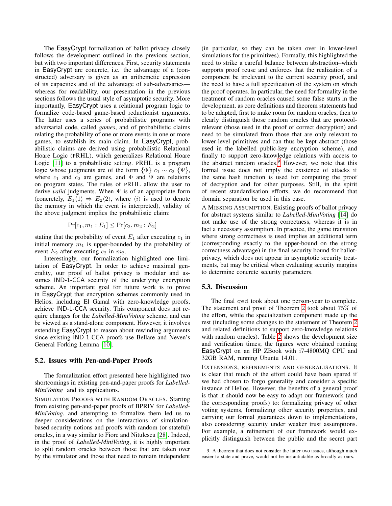The EasyCrypt formalization of ballot privacy closely follows the development outlined in the previous section, but with two important differences. First, security statements in EasyCrypt are concrete, i.e. the advantage of a (constructed) adversary is given as an arithemetic expression of its capacities and of the advantage of sub-adversaries whereas for readability, our presentation in the previous sections follows the usual style of asymptotic security. More importantly, EasyCrypt uses a relational program logic to formalize code-based game-based reductionist arguments. The latter uses a series of probabilistic programs with adversarial code, called *games*, and of probabilistic claims relating the probability of one or more events in one or more games, to establish its main claim. In EasyCrypt, probabilistic claims are derived using probabilistic Relational Hoare Logic (PRHL), which generalizes Relational Hoare Logic [11] to a probabilistic setting. PRHL is a program logic whose judgments are of the form  $\{\Phi\}$   $c_1 \sim c_2$   $\{\Psi\}$ , where  $c_1$  and  $c_2$  are games, and  $\Phi$  and  $\Psi$  are relations on program states. The rules of PRHL allow the user to derive *valid* judgments. When Ψ is of an appropriate form (concretely,  $E_1(1) \Rightarrow E_2(2)$ , where  $\langle i \rangle$  is used to denote the memory in which the event is interpreted), validity of the above judgment implies the probabilistic claim:

$$
Pr[c_1, m_1 : E_1] \le Pr[c_2, m_2 : E_2]
$$

stating that the probability of event  $E_1$  after executing  $c_1$  in initial memory  $m_1$  is upper-bounded by the probability of event  $E_2$  after executing  $c_2$  in  $m_2$ .

Interestingly, our formalization highlighted one limitation of EasyCrypt. In order to achieve maximal generality, our proof of ballot privacy is modular and assumes IND-1-CCA security of the underlying encryption scheme. An important goal for future work is to prove in EasyCrypt that encryption schemes commonly used in Helios, including El Gamal with zero-knowledge proofs, achieve IND-1-CCA security. This component does not require changes for the *Labelled-MiniVoting* scheme, and can be viewed as a stand-alone component. However, it involves extending EasyCrypt to reason about rewinding arguments since existing IND-1-CCA proofs use Bellare and Neven's General Forking Lemma [10].

#### 5.2. Issues with Pen-and-Paper Proofs

The formalization effort presented here highlighted two shortcomings in existing pen-and-paper proofs for *Labelled-MiniVoting* and its applications.

SIMULATION PROOFS WITH RANDOM ORACLES. Starting from existing pen-and-paper proofs of BPRIV for *Labelled-MiniVoting*, and attempting to formalize them led us to deeper considerations on the interactions of simulationbased security notions and proofs with random (or stateful) oracles, in a way similar to Fiore and Nitulescu [28]. Indeed, in the proof of *Labelled-MiniVoting*, it is highly important to split random oracles between those that are taken over by the simulator and those that need to remain independent (in particular, so they can be taken over in lower-level simulations for the primitives). Formally, this highlighted the need to strike a careful balance between abstraction–which supports proof reuse and enforces that the realization of a component be irrelevant to the current security proof, and the need to have a full specification of the system on which the proof operates. In particular, the need for formality in the treatment of random oracles caused some false starts in the development, as core definitions and theorem statements had to be adapted, first to make room for random oracles, then to clearly distinguish those random oracles that are protocolrelevant (those used in the proof of correct decryption) and need to be simulated from those that are only relevant to lower-level primitives and can thus be kept abstract (those used in the labelled public-key encryption scheme), and finally to support zero-knowledge relations with access to the abstract random oracles.<sup>9</sup> However, we note that this formal issue does not imply the existence of attacks if the same hash function is used for computing the proof of decryption and for other purposes. Still, in the spirit of recent standardisation efforts, we do recommend that domain separation be used in this case.

A MISSING ASSUMPTION. Existing proofs of ballot privacy for abstract systems similar to *Labelled-MiniVoting* [14] do not make use of the strong correctness, whereas it is in fact a necessary assumption. In practice, the game transition where strong correctness is used implies an additional term (corresponding exactly to the upper-bound on the strong correctness advantage) in the final security bound for ballotprivacy, which does not appear in asymptotic security treatments, but may be critical when evaluating security margins to determine concrete security parameters.

# 5.3. Discussion

The final qed took about one person-year to complete. The statement and proof of Theorem 2 took about 75% of the effort, while the specialization component made up the rest (including some changes to the statement of Theorem 2 and related definitions to support zero-knowledge relations with random oracles). Table 2 shows the development size and verification times; the figures were obtained running EasyCrypt on an HP ZBook with i7-4800MQ CPU and 32GB RAM, running Ubuntu 14.01.

EXTENSIONS, REFINEMENTS AND GENERALISATIONS. It is clear that much of the effort could have been spared if we had chosen to forgo generality and consider a specific instance of Helios. However, the benefits of a general proof is that it should now be easy to adapt our framework (and the corresponding proofs) to: formalizing privacy of other voting systems, formalizing other security properties, and carrying our formal guarantees down to implementations, also considering security under weaker trust assumptions. For example, a refinement of our framework would explicitly distinguish between the public and the secret part

<sup>9.</sup> A theorem that does not consider the latter two issues, although much easier to state and prove, would not be instantiatable as broadly as ours.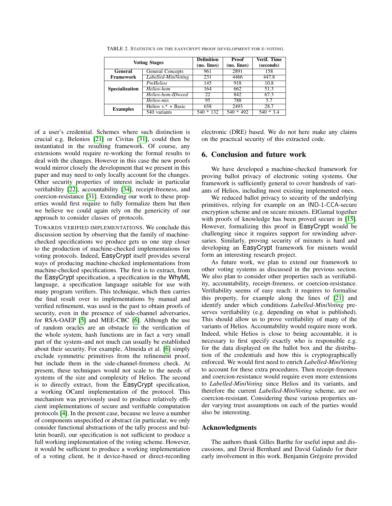| <b>Voting Stages</b>  |                      | <b>Definition</b><br>(no. lines) | Proof<br>(no. lines) | Verif. Time<br>(seconds) |
|-----------------------|----------------------|----------------------------------|----------------------|--------------------------|
| General               | General Concepts     | 961                              | 2891                 | 158                      |
| <b>Framework</b>      | Labelled-MiniVoting  | 231                              | 4466                 | 447.8                    |
|                       | <b>PreHelios</b>     | 145                              | 918                  | 10.8                     |
| <b>Specialization</b> | Helios-hom           | 164                              | 662                  | 51.3                     |
|                       | Helios-hom-IDweed    | 22                               | 842                  | 67.3                     |
|                       | Helios-mix           | 95                               | 788                  | 5.7                      |
| <b>Examples</b>       | Helios $v^*$ + Basic | 658                              | 2493                 | 28.7                     |
|                       | 540 variants         | $540 * 132$                      | $540 * 492$          | $540 * 3.4$              |

TABLE 2. STATISTICS ON THE EASYCRYPT PROOF DEVELOPMENT FOR E-VOTING.

of a user's credential. Schemes where such distinction is crucial e.g. Belenios [21] or Civitas [31], could then be instantiated in the resulting framework. Of course, any extensions would require re-working the formal results to deal with the changes. However in this case the new proofs would mirror closely the development that we present in this paper and may need to only locally account for the changes. Other security properties of interest include in particular verifiability [22], accountability [34], receipt-freeness, and coercion-resistance [31]. Extending our work to these properties would first require to fully formalize them but then we believe we could again rely on the genericity of our approach to consider classes of protocols.

TOWARDS VERIFIED IMPLEMENTATIONS. We conclude this discussion section by observing that the family of machinechecked specifications we produce gets us one step closer to the production of machine-checked implementations for voting protocols. Indeed, EasyCrypt itself provides several ways of producing machine-checked implementations from machine-checked specifications. The first is to extract, from the EasyCrypt specification, a specification in the WhyML language, a specification language suitable for use with many program verifiers. This technique, which then carries the final result over to implementations by manual and verified refinement, was used in the past to obtain proofs of security, even in the presence of side-channel adversaries, for RSA-OAEP [5] and MEE-CBC [6]. Although the use of random oracles are an obstacle to the verification of the whole system, hash functions are in fact a very small part of the system–and not much can usually be established about their security. For example, Almeida et al. [6] simply exclude symmetric primitives from the refinement proof, but include them in the side-channel-freeness check. At present, these techniques would not scale to the needs of systems of the size and complexity of Helios. The second is to directly extract, from the EasyCrypt specification, a working OCaml implementation of the protocol. This mechanism was previously used to produce relatively efficient implementations of secure and verifiable computation protocols [4]. In the present case, because we leave a number of components unspecified or abstract (in particular, we only consider functional abstractions of the tally process and bulletin board), our specification is not sufficient to produce a full working implementation of the voting scheme. However, it would be sufficient to produce a working implementation of a voting client, be it device-based or direct-recording

electronic (DRE) based. We do not here make any claims on the practical security of this extracted code.

# 6. Conclusion and future work

We have developed a machine-checked framework for proving ballot privacy of electronic voting systems. Our framework is sufficiently general to cover hundreds of variants of Helios, including most existing implemented ones.

We reduced ballot privacy to security of the underlying primitives, relying for example on an IND-1-CCA-secure encryption scheme and on secure mixnets. ElGamal together with proofs of knowledge has been proved secure in [15]. However, formalizing this proof in EasyCrypt would be challenging since it requires support for rewinding adversaries. Similarly, proving security of mixnets is hard and developing an EasyCrypt framework for mixnets would form an interesting research project.

As future work, we plan to extend our framework to other voting systems as discussed in the previous section. We also plan to consider other properties such as verifiability, accountability, receipt-freeness, or coercion-resistance. Verifiability seems of easy reach: it requires to formalise this property, for example along the lines of [21] and identify under which conditions *Labelled-MiniVoting* preserves verifiability (e.g. depending on what is published). This should allow us to prove verifiability of many of the variants of Helios. Accountability would require more work. Indeed, while Helios is close to being accountable, it is necessary to first specify exactly who is responsible e.g. for the data displayed on the ballot box and the distribution of the credentials and how this is cryptographically enforced. We would first need to enrich *Labelled-MiniVoting* to account for these extra procedures. Then receipt-freeness and coercion-resistance would require even more extensions to *Labelled-MiniVoting* since Helios and its variants, and therefore the current *Labelled-MiniVoting* scheme, are *not* coercion-resistant. Considering these various properties under varying trust assumptions on each of the parties would also be interesting.

#### Acknowledgments

The authors thank Gilles Barthe for useful input and discussions, and David Bernhard and David Galindo for their early involvement in this work. Benjamin Grégoire provided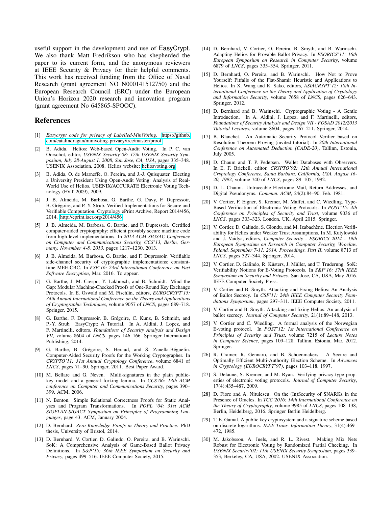useful support in the development and use of EasyCrypt. We also thank Matt Fredrikson who has shepherded the paper to its current form, and the anonymous reviewers at IEEE Security & Privacy for their helpful comments. This work has received funding from the Office of Naval Research (grant agreement NO N000141512750) and the European Research Council (ERC) under the European Union's Horizon 2020 research and innovation program (grant agreement No 645865-SPOOC).

#### References

- [1] *Easycrypt code for privacy of Labelled-MiniVoting*. [https://github.](https://github.com/catalindragan/minivoting-privacy/tree/master/proof) [com/catalindragan/minivoting-privacy/tree/master/proof.](https://github.com/catalindragan/minivoting-privacy/tree/master/proof)
- [2] B. Adida. Helios: Web-based Open-Audit Voting. In P. C. van Oorschot, editor, *USENIX Security'08: 17th USENIX Security Symposium, July 28-August 1, 2008, San Jose, CA, USA*, pages 335–348. USENIX Association, 2008. Helios website: [heliosvoting.org.](heliosvoting.org)
- [3] B. Adida, O. de Marneffe, O. Pereira, and J.-J. Quisquater. Electing a University President Using Open-Audit Voting: Analysis of Real-World Use of Helios. USENIX/ACCURATE Electronic Voting Technology (EVT 2009), 2009.
- [4] J. B. Almeida, M. Barbosa, G. Barthe, G. Davy, F. Dupressoir, B. Grégoire, and P.-Y. Strub. Verified Implementations for Secure and Verifiable Computation. Cryptology ePrint Archive, Report 2014/456, 2014. [http://eprint.iacr.org/2014/456.](http://eprint.iacr.org/2014/456)
- [5] J. B. Almeida, M. Barbosa, G. Barthe, and F. Dupressoir. Certified computer-aided cryptography: efficient provably secure machine code from high-level implementations. In *2013 ACM SIGSAC Conference on Computer and Communications Security, CCS'13, Berlin, Germany, November 4-8, 2013*, pages 1217–1230, 2013.
- [6] J. B. Almeida, M. Barbosa, G. Barthe, and F. Dupressoir. Verifiable side-channel security of cryptographic implementations: constanttime MEE-CBC. In *FSE'16: 23rd International Conference on Fast Software Encryption*, Mar. 2016. To appear.
- [7] G. Barthe, J. M. Crespo, Y. Lakhnech, and B. Schmidt. Mind the Gap: Modular Machine-Checked Proofs of One-Round Key Exchange Protocols. In E. Oswald and M. Fischlin, editors, *EUROCRYPT'15: 34th Annual International Conference on the Theory and Applications of Cryptographic Techniques*, volume 9057 of *LNCS*, pages 689–718. Springer, 2015.
- [8] G. Barthe, F. Dupressoir, B. Grégoire, C. Kunz, B. Schmidt, and P.-Y. Strub. EasyCrypt: A Tutorial. In A. Aldini, J. Lopez, and F. Martinelli, editors, *Foundations of Security Analysis and Design VII*, volume 8604 of *LNCS*, pages 146–166. Springer International Publishing, 2014.
- [9] G. Barthe, B. Grégoire, S. Heraud, and S. Zanella-Béguelin. Computer-Aided Security Proofs for the Working Cryptographer. In *CRYPTO'11: 31st Annual Cryptology Conference*, volume 6841 of *LNCS*, pages 71–90. Springer, 2011. Best Paper Award.
- [10] M. Bellare and G. Neven. Multi-signatures in the plain publickey model and a general forking lemma. In *CCS'06: 13th ACM conference on Computer and Communications Security*, pages 390– 399. ACM, 2006.
- [11] N. Benton. Simple Relational Correctness Proofs for Static Analyses and Program Transformations. In *POPL '04: 31st ACM SIGPLAN-SIGACT Symposium on Principles of Programming Languages*, page 43. ACM, January 2004.
- [12] D. Bernhard. *Zero-Knowledge Proofs in Theory and Practice*. PhD thesis, University of Bristol, 2014.
- [13] D. Bernhard, V. Cortier, D. Galindo, O. Pereira, and B. Warinschi. SoK: A Comprehensive Analysis of Game-Based Ballot Privacy Definitions. In *S&P'15: 36th IEEE Symposium on Security and Privacy*, pages 499–516. IEEE Computer Society, 2015.
- [14] D. Bernhard, V. Cortier, O. Pereira, B. Smyth, and B. Warinschi. Adapting Helios for Provable Ballot Privacy. In *ESORICS'11: 16th European Symposium on Research in Computer Security*, volume 6879 of *LNCS*, pages 335–354. Springer, 2011.
- [15] D. Bernhard, O. Pereira, and B. Warinschi. How Not to Prove Yourself: Pitfalls of the Fiat-Shamir Heuristic and Applications to Helios. In X. Wang and K. Sako, editors, *ASIACRYPT'12: 18th International Conference on the Theory and Application of Cryptology and Information Security*, volume 7658 of *LNCS*, pages 626–643. Springer, 2012.
- [16] D. Bernhard and B. Warinschi. Cryptographic Voting A Gentle Introduction. In A. Aldini, J. Lopez, and F. Martinelli, editors, *Foundations of Security Analysis and Design VII - FOSAD 2012/2013 Tutorial Lectures*, volume 8604, pages 167–211. Springer, 2014.
- [17] B. Blanchet. An Automatic Security Protocol Verifier based on Resolution Theorem Proving (invited tutorial). In *20th International Conference on Automated Deduction (CADE-20)*, Tallinn, Estonia, July 2005.
- [18] D. Chaum and T. P. Pedersen. Wallet Databases with Observers. In E. F. Brickell, editor, *CRYPTO'92: 12th Annual International Cryptology Conference, Santa Barbara, California, USA, August 16- 20, 1992*, volume 740 of *LNCS*, pages 89–105, 1992.
- [19] D. L. Chaum. Untraceable Electronic Mail, Return Addresses, and Digital Pseudonyms. *Commun. ACM*, 24(2):84–90, Feb. 1981.
- [20] V. Cortier, F. Eigner, S. Kremer, M. Maffei, and C. Wiedling. Type-Based Verification of Electronic Voting Protocols. In *POST'15: 4th Conference on Principles of Security and Trust*, volume 9036 of *LNCS*, pages 303–323, London, UK, April 2015. Springer.
- [21] V. Cortier, D. Galindo, S. Glondu, and M. Izabachène. Election Verifiability for Helios under Weaker Trust Assumptions. In M. Kutylowski and J. Vaidya, editors, *Computer Security - ESORICS 2014 - 19th European Symposium on Research in Computer Security, Wroclaw, Poland, September 7-11, 2014. Proceedings, Part II*, volume 8713 of *LNCS*, pages 327–344. Springer, 2014.
- [22] V. Cortier, D. Galindo, R. Küsters, J. Müller, and T. Truderung. SoK: Verifiability Notions for E-Voting Protocols. In *S&P'16: 37th IEEE Symposium on Security and Privacy*, San Jose, CA, USA, May 2016. IEEE Computer Society Press.
- [23] V. Cortier and B. Smyth. Attacking and Fixing Helios: An Analysis of Ballot Secrecy. In *CSF'11: 24th IEEE Computer Security Foundations Symposium*, pages 297–311. IEEE Computer Society, 2011.
- [24] V. Cortier and B. Smyth. Attacking and fixing Helios: An analysis of ballot secrecy. *Journal of Computer Security*, 21(1):89–148, 2013.
- [25] V. Cortier and C. Wiedling. A formal analysis of the Norwegian E-voting protocol. In *POST'12: 1st International Conference on Principles of Security and Trust*, volume 7215 of *Lecture Notes in Computer Science*, pages 109–128, Tallinn, Estonia, Mar. 2012. Springer.
- [26] R. Cramer, R. Gennaro, and B. Schoenmakers. A Secure and Optimally Efficient Multi-Authority Election Scheme. In *Advances in Cryptology (EUROCRYPT'97)*, pages 103–118, 1997.
- [27] S. Delaune, S. Kremer, and M. Ryan. Verifying privacy-type properties of electronic voting protocols. *Journal of Computer Security*, 17(4):435–487, 2009.
- [28] D. Fiore and A. Nitulescu. On the (In)Security of SNARKs in the Presence of Oracles. In *TCC'2016: 14th International Conference on the Theory of Cryptography*, volume 9985 of *LNCS*, pages 108–138, Berlin, Heidelberg, 2016. Springer Berlin Heidelberg.
- [29] T. E. Gamal. A public key cryptosystem and a signature scheme based on discrete logarithms. *IEEE Trans. Information Theory*, 31(4):469– 472, 1985.
- [30] M. Jakobsson, A. Juels, and R. L. Rivest. Making Mix Nets Robust for Electronic Voting by Randomized Partial Checking. In *USENIX Security'02: 11th USENIX Security Symposium*, pages 339– 353, Berkeley, CA, USA, 2002. USENIX Association.